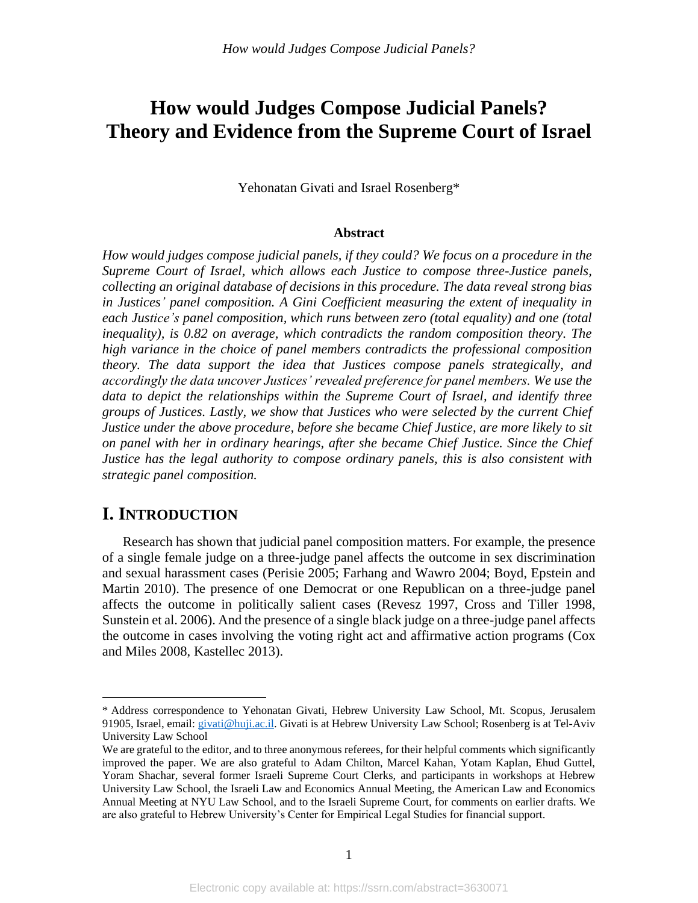# **How would Judges Compose Judicial Panels? Theory and Evidence from the Supreme Court of Israel**

Yehonatan Givati and Israel Rosenberg\*

#### **Abstract**

*How would judges compose judicial panels, if they could? We focus on a procedure in the Supreme Court of Israel, which allows each Justice to compose three-Justice panels, collecting an original database of decisions in this procedure. The data reveal strong bias in Justices' panel composition. A Gini Coefficient measuring the extent of inequality in each Justice's panel composition, which runs between zero (total equality) and one (total inequality), is 0.82 on average, which contradicts the random composition theory. The high variance in the choice of panel members contradicts the professional composition theory. The data support the idea that Justices compose panels strategically, and accordingly the data uncover Justices' revealed preference for panel members. We use the data to depict the relationships within the Supreme Court of Israel, and identify three groups of Justices. Lastly, we show that Justices who were selected by the current Chief Justice under the above procedure, before she became Chief Justice, are more likely to sit on panel with her in ordinary hearings, after she became Chief Justice. Since the Chief Justice has the legal authority to compose ordinary panels, this is also consistent with strategic panel composition.*

### **I. INTRODUCTION**

 $\overline{a}$ 

Research has shown that judicial panel composition matters. For example, the presence of a single female judge on a three-judge panel affects the outcome in sex discrimination and sexual harassment cases (Perisie 2005; Farhang and Wawro 2004; Boyd, Epstein and Martin 2010). The presence of one Democrat or one Republican on a three-judge panel affects the outcome in politically salient cases (Revesz 1997, Cross and Tiller 1998, Sunstein et al. 2006). And the presence of a single black judge on a three-judge panel affects the outcome in cases involving the voting right act and affirmative action programs (Cox and Miles 2008, Kastellec 2013).

<sup>\*</sup> Address correspondence to Yehonatan Givati, Hebrew University Law School, Mt. Scopus, Jerusalem 91905, Israel, email: [givati@huji.ac.il.](mailto:givati@huji.ac.il) Givati is at Hebrew University Law School; Rosenberg is at Tel-Aviv University Law School

We are grateful to the editor, and to three anonymous referees, for their helpful comments which significantly improved the paper. We are also grateful to Adam Chilton, Marcel Kahan, Yotam Kaplan, Ehud Guttel, Yoram Shachar, several former Israeli Supreme Court Clerks, and participants in workshops at Hebrew University Law School, the Israeli Law and Economics Annual Meeting, the American Law and Economics Annual Meeting at NYU Law School, and to the Israeli Supreme Court, for comments on earlier drafts. We are also grateful to Hebrew University's Center for Empirical Legal Studies for financial support.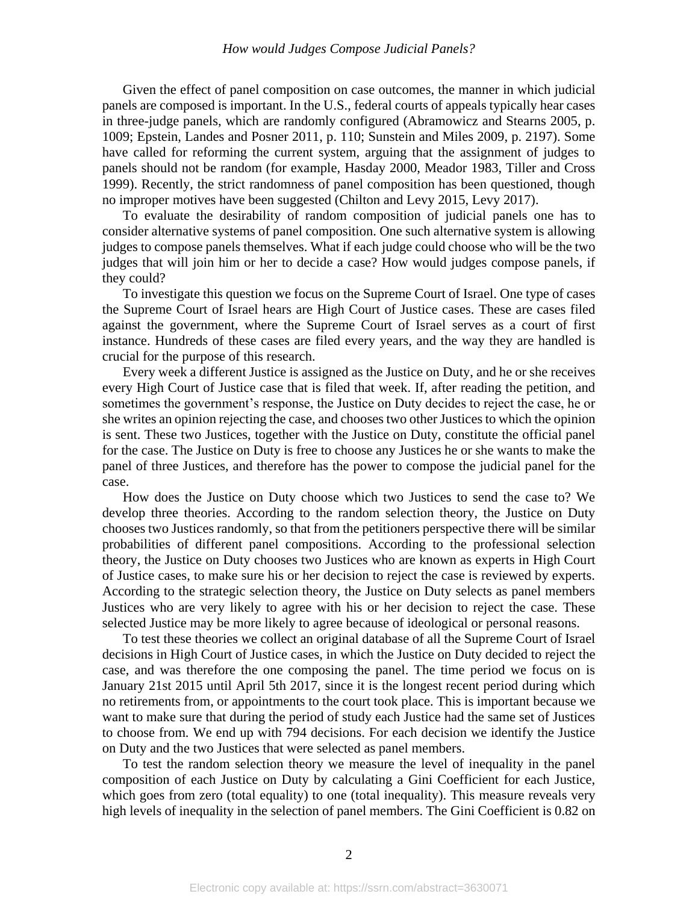#### *How would Judges Compose Judicial Panels?*

Given the effect of panel composition on case outcomes, the manner in which judicial panels are composed is important. In the U.S., federal courts of appeals typically hear cases in three-judge panels, which are randomly configured (Abramowicz and Stearns 2005, p. 1009; Epstein, Landes and Posner 2011, p. 110; Sunstein and Miles 2009, p. 2197). Some have called for reforming the current system, arguing that the assignment of judges to panels should not be random (for example, Hasday 2000, Meador 1983, Tiller and Cross 1999). Recently, the strict randomness of panel composition has been questioned, though no improper motives have been suggested (Chilton and Levy 2015, Levy 2017).

To evaluate the desirability of random composition of judicial panels one has to consider alternative systems of panel composition. One such alternative system is allowing judges to compose panels themselves. What if each judge could choose who will be the two judges that will join him or her to decide a case? How would judges compose panels, if they could?

To investigate this question we focus on the Supreme Court of Israel. One type of cases the Supreme Court of Israel hears are High Court of Justice cases. These are cases filed against the government, where the Supreme Court of Israel serves as a court of first instance. Hundreds of these cases are filed every years, and the way they are handled is crucial for the purpose of this research.

Every week a different Justice is assigned as the Justice on Duty, and he or she receives every High Court of Justice case that is filed that week. If, after reading the petition, and sometimes the government's response, the Justice on Duty decides to reject the case, he or she writes an opinion rejecting the case, and chooses two other Justices to which the opinion is sent. These two Justices, together with the Justice on Duty, constitute the official panel for the case. The Justice on Duty is free to choose any Justices he or she wants to make the panel of three Justices, and therefore has the power to compose the judicial panel for the case.

How does the Justice on Duty choose which two Justices to send the case to? We develop three theories. According to the random selection theory, the Justice on Duty chooses two Justices randomly, so that from the petitioners perspective there will be similar probabilities of different panel compositions. According to the professional selection theory, the Justice on Duty chooses two Justices who are known as experts in High Court of Justice cases, to make sure his or her decision to reject the case is reviewed by experts. According to the strategic selection theory, the Justice on Duty selects as panel members Justices who are very likely to agree with his or her decision to reject the case. These selected Justice may be more likely to agree because of ideological or personal reasons.

To test these theories we collect an original database of all the Supreme Court of Israel decisions in High Court of Justice cases, in which the Justice on Duty decided to reject the case, and was therefore the one composing the panel. The time period we focus on is January 21st 2015 until April 5th 2017, since it is the longest recent period during which no retirements from, or appointments to the court took place. This is important because we want to make sure that during the period of study each Justice had the same set of Justices to choose from. We end up with 794 decisions. For each decision we identify the Justice on Duty and the two Justices that were selected as panel members.

To test the random selection theory we measure the level of inequality in the panel composition of each Justice on Duty by calculating a Gini Coefficient for each Justice, which goes from zero (total equality) to one (total inequality). This measure reveals very high levels of inequality in the selection of panel members. The Gini Coefficient is 0.82 on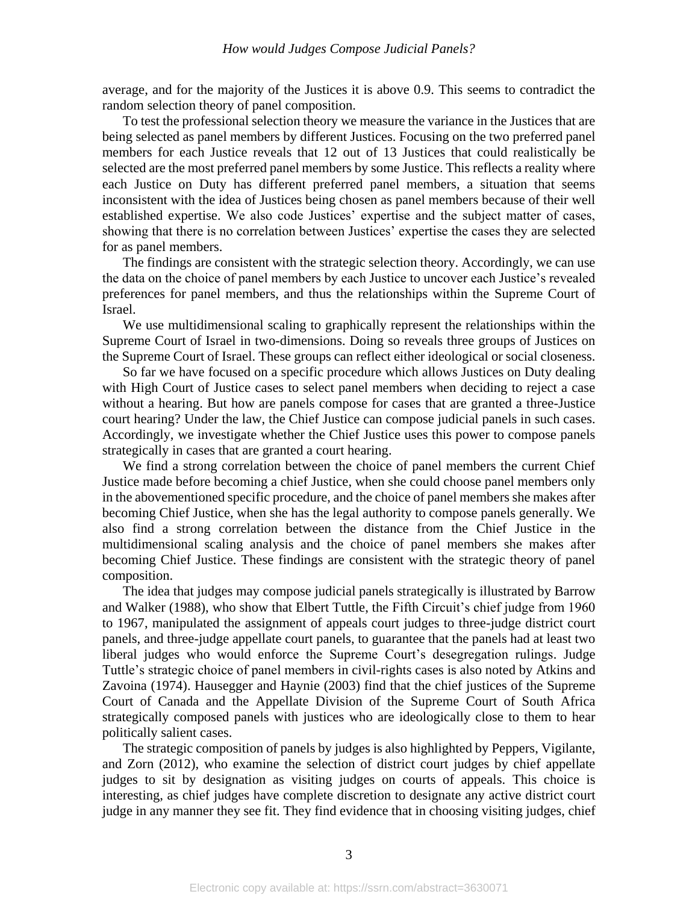average, and for the majority of the Justices it is above 0.9. This seems to contradict the random selection theory of panel composition.

To test the professional selection theory we measure the variance in the Justices that are being selected as panel members by different Justices. Focusing on the two preferred panel members for each Justice reveals that 12 out of 13 Justices that could realistically be selected are the most preferred panel members by some Justice. This reflects a reality where each Justice on Duty has different preferred panel members, a situation that seems inconsistent with the idea of Justices being chosen as panel members because of their well established expertise. We also code Justices' expertise and the subject matter of cases, showing that there is no correlation between Justices' expertise the cases they are selected for as panel members.

The findings are consistent with the strategic selection theory. Accordingly, we can use the data on the choice of panel members by each Justice to uncover each Justice's revealed preferences for panel members, and thus the relationships within the Supreme Court of Israel.

We use multidimensional scaling to graphically represent the relationships within the Supreme Court of Israel in two-dimensions. Doing so reveals three groups of Justices on the Supreme Court of Israel. These groups can reflect either ideological or social closeness.

So far we have focused on a specific procedure which allows Justices on Duty dealing with High Court of Justice cases to select panel members when deciding to reject a case without a hearing. But how are panels compose for cases that are granted a three-Justice court hearing? Under the law, the Chief Justice can compose judicial panels in such cases. Accordingly, we investigate whether the Chief Justice uses this power to compose panels strategically in cases that are granted a court hearing.

We find a strong correlation between the choice of panel members the current Chief Justice made before becoming a chief Justice, when she could choose panel members only in the abovementioned specific procedure, and the choice of panel members she makes after becoming Chief Justice, when she has the legal authority to compose panels generally. We also find a strong correlation between the distance from the Chief Justice in the multidimensional scaling analysis and the choice of panel members she makes after becoming Chief Justice. These findings are consistent with the strategic theory of panel composition.

The idea that judges may compose judicial panels strategically is illustrated by Barrow and Walker (1988), who show that Elbert Tuttle, the Fifth Circuit's chief judge from 1960 to 1967, manipulated the assignment of appeals court judges to three-judge district court panels, and three-judge appellate court panels, to guarantee that the panels had at least two liberal judges who would enforce the Supreme Court's desegregation rulings. Judge Tuttle's strategic choice of panel members in civil-rights cases is also noted by Atkins and Zavoina (1974). Hausegger and Haynie (2003) find that the chief justices of the Supreme Court of Canada and the Appellate Division of the Supreme Court of South Africa strategically composed panels with justices who are ideologically close to them to hear politically salient cases.

The strategic composition of panels by judges is also highlighted by Peppers, Vigilante, and Zorn (2012), who examine the selection of district court judges by chief appellate judges to sit by designation as visiting judges on courts of appeals. This choice is interesting, as chief judges have complete discretion to designate any active district court judge in any manner they see fit. They find evidence that in choosing visiting judges, chief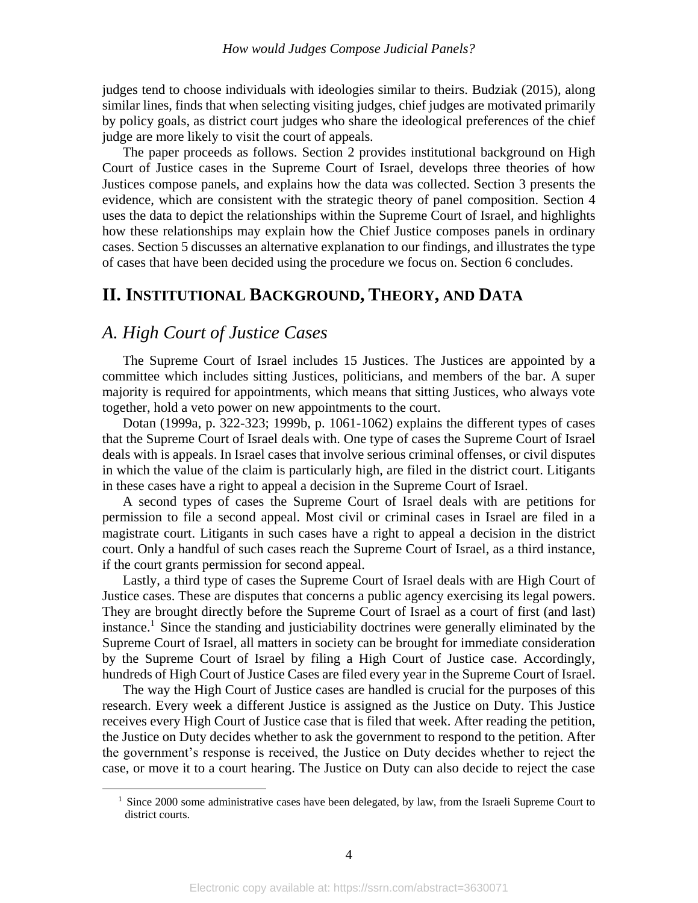judges tend to choose individuals with ideologies similar to theirs. Budziak (2015), along similar lines, finds that when selecting visiting judges, chief judges are motivated primarily by policy goals, as district court judges who share the ideological preferences of the chief judge are more likely to visit the court of appeals.

The paper proceeds as follows. Section 2 provides institutional background on High Court of Justice cases in the Supreme Court of Israel, develops three theories of how Justices compose panels, and explains how the data was collected. Section 3 presents the evidence, which are consistent with the strategic theory of panel composition. Section 4 uses the data to depict the relationships within the Supreme Court of Israel, and highlights how these relationships may explain how the Chief Justice composes panels in ordinary cases. Section 5 discusses an alternative explanation to our findings, and illustrates the type of cases that have been decided using the procedure we focus on. Section 6 concludes.

## **II. INSTITUTIONAL BACKGROUND, THEORY, AND DATA**

## *A. High Court of Justice Cases*

 $\overline{a}$ 

The Supreme Court of Israel includes 15 Justices. The Justices are appointed by a committee which includes sitting Justices, politicians, and members of the bar. A super majority is required for appointments, which means that sitting Justices, who always vote together, hold a veto power on new appointments to the court.

Dotan (1999a, p. 322-323; 1999b, p. 1061-1062) explains the different types of cases that the Supreme Court of Israel deals with. One type of cases the Supreme Court of Israel deals with is appeals. In Israel cases that involve serious criminal offenses, or civil disputes in which the value of the claim is particularly high, are filed in the district court. Litigants in these cases have a right to appeal a decision in the Supreme Court of Israel.

A second types of cases the Supreme Court of Israel deals with are petitions for permission to file a second appeal. Most civil or criminal cases in Israel are filed in a magistrate court. Litigants in such cases have a right to appeal a decision in the district court. Only a handful of such cases reach the Supreme Court of Israel, as a third instance, if the court grants permission for second appeal.

Lastly, a third type of cases the Supreme Court of Israel deals with are High Court of Justice cases. These are disputes that concerns a public agency exercising its legal powers. They are brought directly before the Supreme Court of Israel as a court of first (and last) instance.<sup>1</sup> Since the standing and justiciability doctrines were generally eliminated by the Supreme Court of Israel, all matters in society can be brought for immediate consideration by the Supreme Court of Israel by filing a High Court of Justice case. Accordingly, hundreds of High Court of Justice Cases are filed every year in the Supreme Court of Israel.

The way the High Court of Justice cases are handled is crucial for the purposes of this research. Every week a different Justice is assigned as the Justice on Duty. This Justice receives every High Court of Justice case that is filed that week. After reading the petition, the Justice on Duty decides whether to ask the government to respond to the petition. After the government's response is received, the Justice on Duty decides whether to reject the case, or move it to a court hearing. The Justice on Duty can also decide to reject the case

<sup>&</sup>lt;sup>1</sup> Since 2000 some administrative cases have been delegated, by law, from the Israeli Supreme Court to district courts.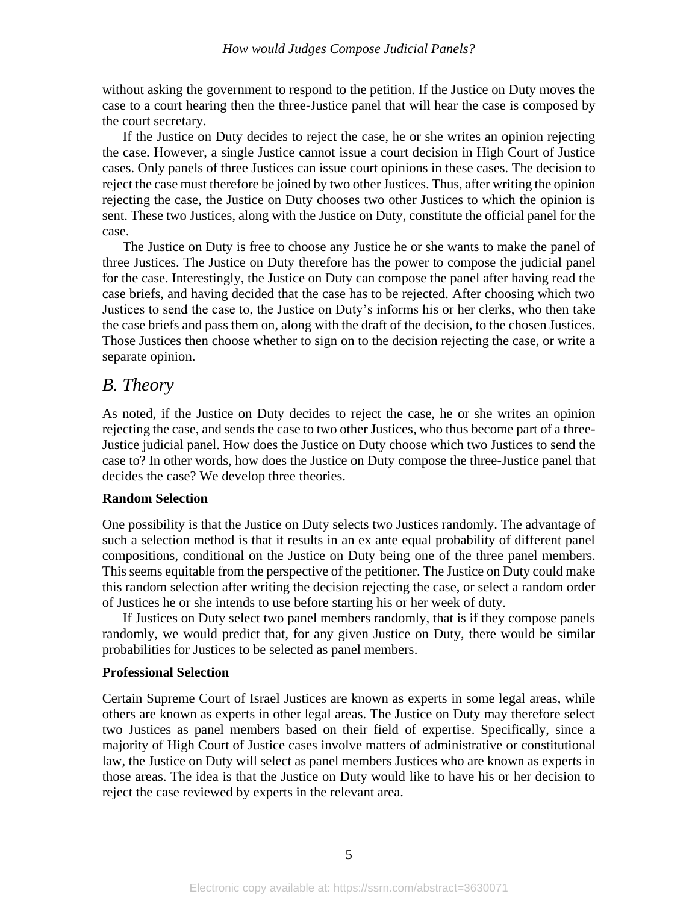without asking the government to respond to the petition. If the Justice on Duty moves the case to a court hearing then the three-Justice panel that will hear the case is composed by the court secretary.

If the Justice on Duty decides to reject the case, he or she writes an opinion rejecting the case. However, a single Justice cannot issue a court decision in High Court of Justice cases. Only panels of three Justices can issue court opinions in these cases. The decision to reject the case must therefore be joined by two other Justices. Thus, after writing the opinion rejecting the case, the Justice on Duty chooses two other Justices to which the opinion is sent. These two Justices, along with the Justice on Duty, constitute the official panel for the case.

The Justice on Duty is free to choose any Justice he or she wants to make the panel of three Justices. The Justice on Duty therefore has the power to compose the judicial panel for the case. Interestingly, the Justice on Duty can compose the panel after having read the case briefs, and having decided that the case has to be rejected. After choosing which two Justices to send the case to, the Justice on Duty's informs his or her clerks, who then take the case briefs and pass them on, along with the draft of the decision, to the chosen Justices. Those Justices then choose whether to sign on to the decision rejecting the case, or write a separate opinion.

### *B. Theory*

As noted, if the Justice on Duty decides to reject the case, he or she writes an opinion rejecting the case, and sends the case to two other Justices, who thus become part of a three-Justice judicial panel. How does the Justice on Duty choose which two Justices to send the case to? In other words, how does the Justice on Duty compose the three-Justice panel that decides the case? We develop three theories.

#### **Random Selection**

One possibility is that the Justice on Duty selects two Justices randomly. The advantage of such a selection method is that it results in an ex ante equal probability of different panel compositions, conditional on the Justice on Duty being one of the three panel members. This seems equitable from the perspective of the petitioner. The Justice on Duty could make this random selection after writing the decision rejecting the case, or select a random order of Justices he or she intends to use before starting his or her week of duty.

If Justices on Duty select two panel members randomly, that is if they compose panels randomly, we would predict that, for any given Justice on Duty, there would be similar probabilities for Justices to be selected as panel members.

#### **Professional Selection**

Certain Supreme Court of Israel Justices are known as experts in some legal areas, while others are known as experts in other legal areas. The Justice on Duty may therefore select two Justices as panel members based on their field of expertise. Specifically, since a majority of High Court of Justice cases involve matters of administrative or constitutional law, the Justice on Duty will select as panel members Justices who are known as experts in those areas. The idea is that the Justice on Duty would like to have his or her decision to reject the case reviewed by experts in the relevant area.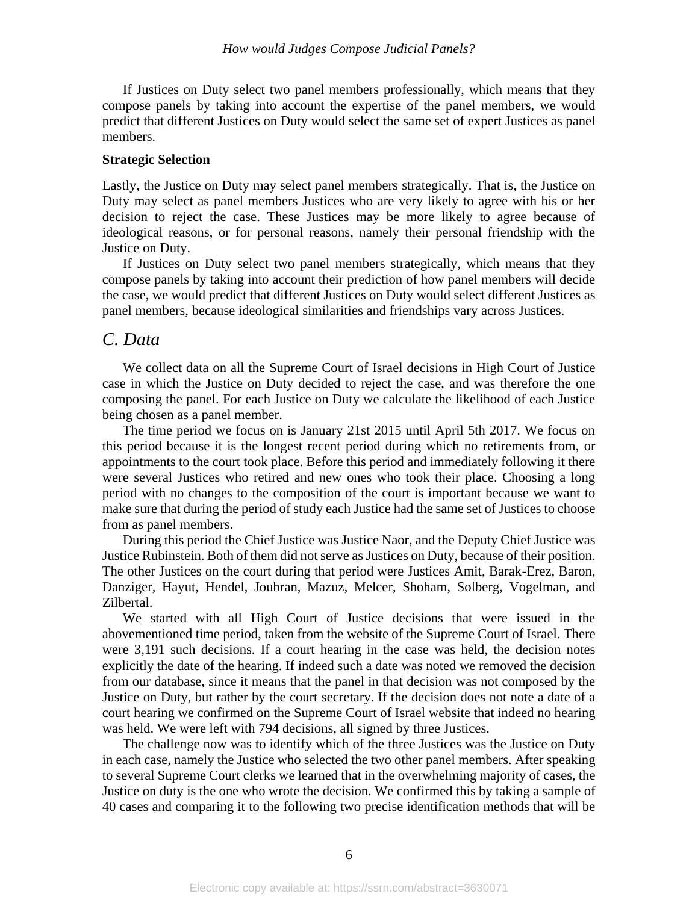If Justices on Duty select two panel members professionally, which means that they compose panels by taking into account the expertise of the panel members, we would predict that different Justices on Duty would select the same set of expert Justices as panel members.

#### **Strategic Selection**

Lastly, the Justice on Duty may select panel members strategically. That is, the Justice on Duty may select as panel members Justices who are very likely to agree with his or her decision to reject the case. These Justices may be more likely to agree because of ideological reasons, or for personal reasons, namely their personal friendship with the Justice on Duty.

If Justices on Duty select two panel members strategically, which means that they compose panels by taking into account their prediction of how panel members will decide the case, we would predict that different Justices on Duty would select different Justices as panel members, because ideological similarities and friendships vary across Justices.

### *C. Data*

We collect data on all the Supreme Court of Israel decisions in High Court of Justice case in which the Justice on Duty decided to reject the case, and was therefore the one composing the panel. For each Justice on Duty we calculate the likelihood of each Justice being chosen as a panel member.

The time period we focus on is January 21st 2015 until April 5th 2017. We focus on this period because it is the longest recent period during which no retirements from, or appointments to the court took place. Before this period and immediately following it there were several Justices who retired and new ones who took their place. Choosing a long period with no changes to the composition of the court is important because we want to make sure that during the period of study each Justice had the same set of Justices to choose from as panel members.

During this period the Chief Justice was Justice Naor, and the Deputy Chief Justice was Justice Rubinstein. Both of them did not serve as Justices on Duty, because of their position. The other Justices on the court during that period were Justices Amit, Barak-Erez, Baron, Danziger, Hayut, Hendel, Joubran, Mazuz, Melcer, Shoham, Solberg, Vogelman, and Zilbertal.

We started with all High Court of Justice decisions that were issued in the abovementioned time period, taken from the website of the Supreme Court of Israel. There were 3,191 such decisions. If a court hearing in the case was held, the decision notes explicitly the date of the hearing. If indeed such a date was noted we removed the decision from our database, since it means that the panel in that decision was not composed by the Justice on Duty, but rather by the court secretary. If the decision does not note a date of a court hearing we confirmed on the Supreme Court of Israel website that indeed no hearing was held. We were left with 794 decisions, all signed by three Justices.

The challenge now was to identify which of the three Justices was the Justice on Duty in each case, namely the Justice who selected the two other panel members. After speaking to several Supreme Court clerks we learned that in the overwhelming majority of cases, the Justice on duty is the one who wrote the decision. We confirmed this by taking a sample of 40 cases and comparing it to the following two precise identification methods that will be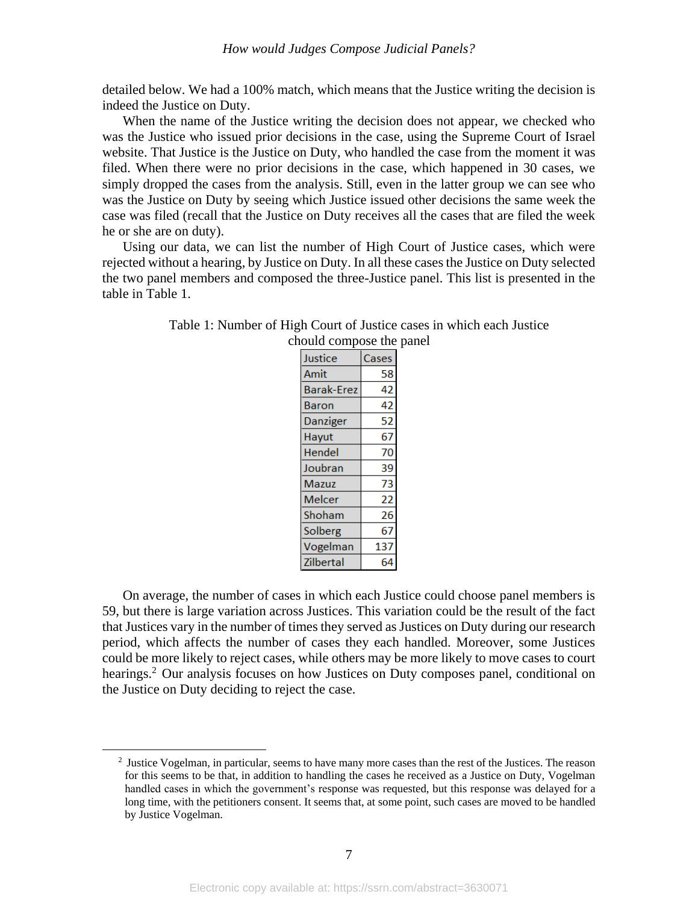detailed below. We had a 100% match, which means that the Justice writing the decision is indeed the Justice on Duty.

When the name of the Justice writing the decision does not appear, we checked who was the Justice who issued prior decisions in the case, using the Supreme Court of Israel website. That Justice is the Justice on Duty, who handled the case from the moment it was filed. When there were no prior decisions in the case, which happened in 30 cases, we simply dropped the cases from the analysis. Still, even in the latter group we can see who was the Justice on Duty by seeing which Justice issued other decisions the same week the case was filed (recall that the Justice on Duty receives all the cases that are filed the week he or she are on duty).

Using our data, we can list the number of High Court of Justice cases, which were rejected without a hearing, by Justice on Duty. In all these cases the Justice on Duty selected the two panel members and composed the three-Justice panel. This list is presented in the table in Table 1.

| toura compose me  |       |  |  |  |  |  |
|-------------------|-------|--|--|--|--|--|
| Justice           | Cases |  |  |  |  |  |
| Amit              | 58    |  |  |  |  |  |
| <b>Barak-Erez</b> | 42    |  |  |  |  |  |
| Baron             | 42    |  |  |  |  |  |
| Danziger          | 52    |  |  |  |  |  |
| Hayut             | 67    |  |  |  |  |  |
| Hendel            | 70    |  |  |  |  |  |
| Joubran           | 39    |  |  |  |  |  |
| <b>Mazuz</b>      | 73    |  |  |  |  |  |
| Melcer            | 22    |  |  |  |  |  |
| Shoham            | 26    |  |  |  |  |  |
| Solberg           | 67    |  |  |  |  |  |
| Vogelman          | 137   |  |  |  |  |  |
| Zilbertal         | 64    |  |  |  |  |  |

| Table 1: Number of High Court of Justice cases in which each Justice |
|----------------------------------------------------------------------|
| chould compose the panel                                             |

On average, the number of cases in which each Justice could choose panel members is 59, but there is large variation across Justices. This variation could be the result of the fact that Justices vary in the number of times they served as Justices on Duty during our research period, which affects the number of cases they each handled. Moreover, some Justices could be more likely to reject cases, while others may be more likely to move cases to court hearings.<sup>2</sup> Our analysis focuses on how Justices on Duty composes panel, conditional on the Justice on Duty deciding to reject the case.

<sup>&</sup>lt;sup>2</sup> Justice Vogelman, in particular, seems to have many more cases than the rest of the Justices. The reason for this seems to be that, in addition to handling the cases he received as a Justice on Duty, Vogelman handled cases in which the government's response was requested, but this response was delayed for a long time, with the petitioners consent. It seems that, at some point, such cases are moved to be handled by Justice Vogelman.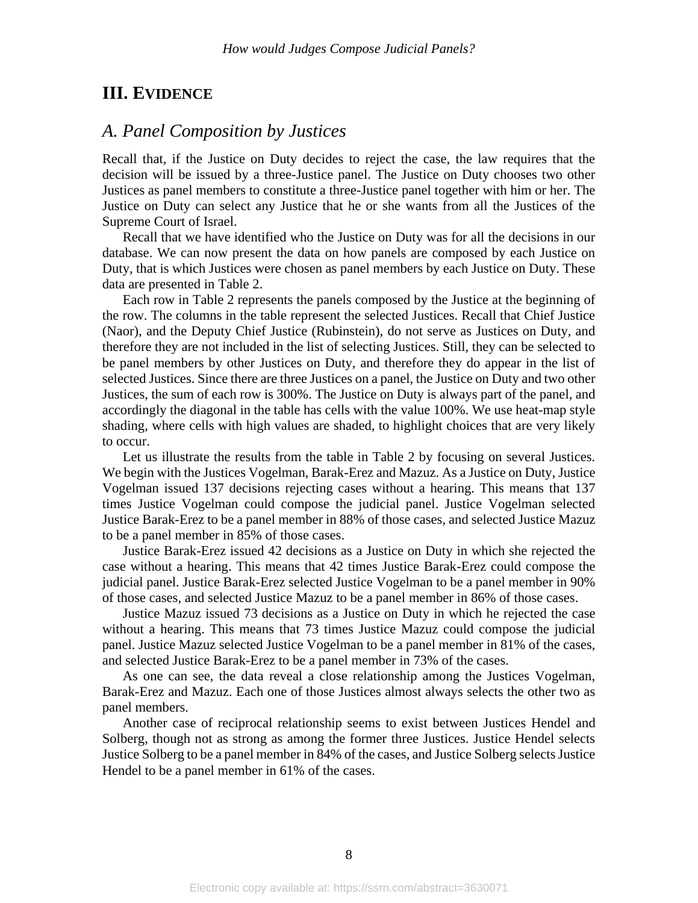### **III. EVIDENCE**

### *A. Panel Composition by Justices*

Recall that, if the Justice on Duty decides to reject the case, the law requires that the decision will be issued by a three-Justice panel. The Justice on Duty chooses two other Justices as panel members to constitute a three-Justice panel together with him or her. The Justice on Duty can select any Justice that he or she wants from all the Justices of the Supreme Court of Israel.

Recall that we have identified who the Justice on Duty was for all the decisions in our database. We can now present the data on how panels are composed by each Justice on Duty, that is which Justices were chosen as panel members by each Justice on Duty. These data are presented in Table 2.

Each row in Table 2 represents the panels composed by the Justice at the beginning of the row. The columns in the table represent the selected Justices. Recall that Chief Justice (Naor), and the Deputy Chief Justice (Rubinstein), do not serve as Justices on Duty, and therefore they are not included in the list of selecting Justices. Still, they can be selected to be panel members by other Justices on Duty, and therefore they do appear in the list of selected Justices. Since there are three Justices on a panel, the Justice on Duty and two other Justices, the sum of each row is 300%. The Justice on Duty is always part of the panel, and accordingly the diagonal in the table has cells with the value 100%. We use heat-map style shading, where cells with high values are shaded, to highlight choices that are very likely to occur.

Let us illustrate the results from the table in Table 2 by focusing on several Justices. We begin with the Justices Vogelman, Barak-Erez and Mazuz. As a Justice on Duty, Justice Vogelman issued 137 decisions rejecting cases without a hearing. This means that 137 times Justice Vogelman could compose the judicial panel. Justice Vogelman selected Justice Barak-Erez to be a panel member in 88% of those cases, and selected Justice Mazuz to be a panel member in 85% of those cases.

Justice Barak-Erez issued 42 decisions as a Justice on Duty in which she rejected the case without a hearing. This means that 42 times Justice Barak-Erez could compose the judicial panel. Justice Barak-Erez selected Justice Vogelman to be a panel member in 90% of those cases, and selected Justice Mazuz to be a panel member in 86% of those cases.

Justice Mazuz issued 73 decisions as a Justice on Duty in which he rejected the case without a hearing. This means that 73 times Justice Mazuz could compose the judicial panel. Justice Mazuz selected Justice Vogelman to be a panel member in 81% of the cases, and selected Justice Barak-Erez to be a panel member in 73% of the cases.

As one can see, the data reveal a close relationship among the Justices Vogelman, Barak-Erez and Mazuz. Each one of those Justices almost always selects the other two as panel members.

Another case of reciprocal relationship seems to exist between Justices Hendel and Solberg, though not as strong as among the former three Justices. Justice Hendel selects Justice Solberg to be a panel member in 84% of the cases, and Justice Solberg selects Justice Hendel to be a panel member in 61% of the cases.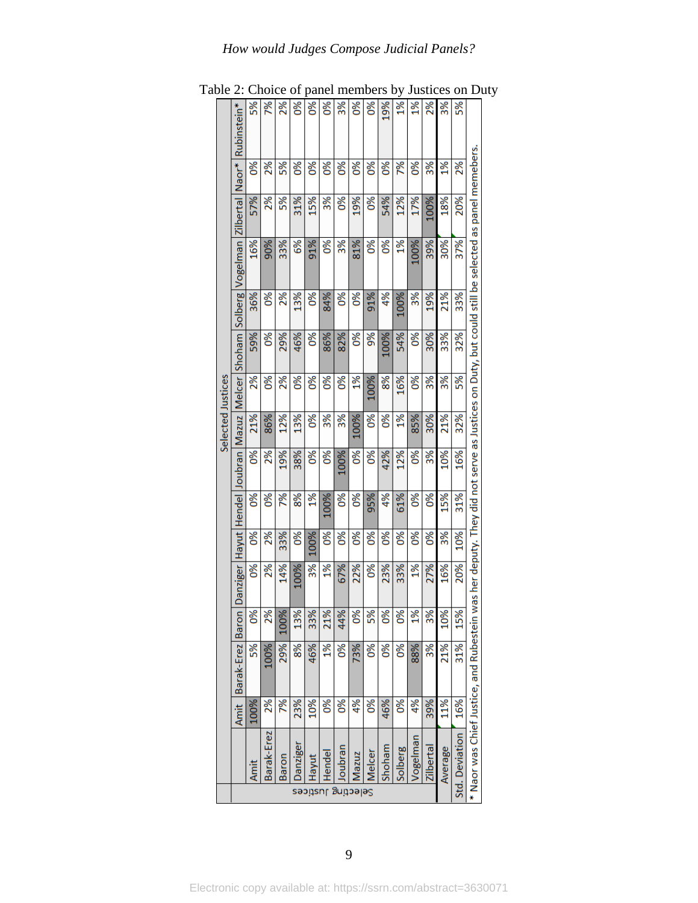|                   | Rubinstein <sup>*</sup> | 5%   | 7%         | 2%    | ೫೦       | 0%    | కి            | $\frac{28}{3}$ | క             | క             | 19%           | $1\%$   | $^{26}$       | $2\%$            | 3%            | 5%             |                                                                                                       |
|-------------------|-------------------------|------|------------|-------|----------|-------|---------------|----------------|---------------|---------------|---------------|---------|---------------|------------------|---------------|----------------|-------------------------------------------------------------------------------------------------------|
|                   | Naor*                   | ఠి   | $2\%$      | 5%    | కి       | 0%    | త్య           | కి             | 0%            | ೫೦            | 0%            | 7%      | ೫೦            | 3%               | $\frac{8}{2}$ | 2%             |                                                                                                       |
|                   | <b>Zilbertal</b>        | 57%  | $2\%$      | 5%    | 31%      | 15%   | $\frac{8}{3}$ | క              | 19%           | లిక           | 54%           | 12%     | 17%           | 100%             | 18%           | 20%            |                                                                                                       |
|                   | Vogelman                | 16%  | 90%        | 33%   | 6%       | 91%   | 86            | $\frac{8}{3}$  | 81%           | 86            | 86            | $1\%$   | 100%          | 39%              | 30%           | 37%            |                                                                                                       |
|                   |                         | 36%  | ೫೦         | 2%    | 13%      | ೫೦    | 84%           | క              | 0%            | 91%           | 4%            | 100%    | 3%            | 19%              | 21%           | 33%            |                                                                                                       |
|                   | Shoham Solberg          | 59%  | ೫೦         | 29%   | 46%      | ೫೦    | 86%           | 82%            | 86            | $\frac{8}{6}$ | 100%          | 54%     | క             | 30%              | 33%           | 32%            |                                                                                                       |
|                   | Melcer                  | 2%   | $^{86}$    | 2%    | 0%       | లిక   | కి            | క              | $^{26}$       | 100%          | 8%            | 16%     | ೫೦            | 3%               | 3%            | 5%             |                                                                                                       |
| Selected Justices | <b>INazuz</b>           | 21%  | 86%        | 12%   | 13%      | 0%    | 3%            | 3%             | 100%          | ೫೦            | $\frac{8}{6}$ | $2\%$   | 85%           | 30%              | 21%           | 32%            |                                                                                                       |
|                   | Joubran                 | 0%   | 2%         | 19%   | 38%      | లిక   | కి            | 100%           | 8%            | 0%            | 42%           | 12%     | ೫೦            | 3%               | 10%           | 16%            | as her deputy. They did not serve as Justices on Duty, but could still be selected as panel memebers. |
|                   | Hendel                  | 0%   | ೫೦         | 7%    | 8%       | $1\%$ | 100%          | 0%             | 0%            | 95%           | 4%            | 61%     | 0%            | 86               | 15%           | 31%            |                                                                                                       |
|                   | <b>Hayut</b>            | లిక  | $2\%$      | 33%   | 0%       | 100%  | కో            | 0%             | ೫೦            | 0%            | 0%            | 0%      | ఠి            | 0%               | 3%            | 10%            |                                                                                                       |
|                   | Danziger                | ೫೦   | $2\%$      | 14%   | 100%     | 3%    | $1\%$         | 67%            | 22%           | లిక           | 23%           | 33%     | $\frac{8}{3}$ | 27%              | 16%           | 20%            |                                                                                                       |
|                   |                         | 0%   | 2%         | 100%  | 13%      | 33%   | 21%           | 44%            | $\frac{8}{6}$ | 5%            | O%            | 8%      | $\frac{8}{2}$ | 3%               | 10%           | 15%            |                                                                                                       |
|                   | Barak-Erez   Baron      | 5%   | 100%       | 29%   | 8%       | 46%   | $\frac{8}{2}$ | 0%             | 73%           | 0%            | 8%            | లిక     | 88%           | 3%               | 21%           | 31%            |                                                                                                       |
|                   | Amit                    | 100% | $2\%$      | 7%    | 23%      | 10%   | కి            | క              | 4%            | ೫೦            | 46%           | ೫೦      | 4%            | 39%              | 11%           | 16%            |                                                                                                       |
|                   |                         | Amit | Barak-Erez | Baron | Danziger | Hayut | Hendel        | Joubran        | <b>Mazuz</b>  | Melcer        | Shoham        | Solberg | Vogelman      | <b>Zilbertal</b> | Average       | Std. Deviation | * Naor was Chief Justice, and Rubestein w                                                             |
|                   | Selecting Justices      |      |            |       |          |       |               |                |               |               |               |         |               |                  |               |                |                                                                                                       |

Table 2: Choice of panel members by Justices on Duty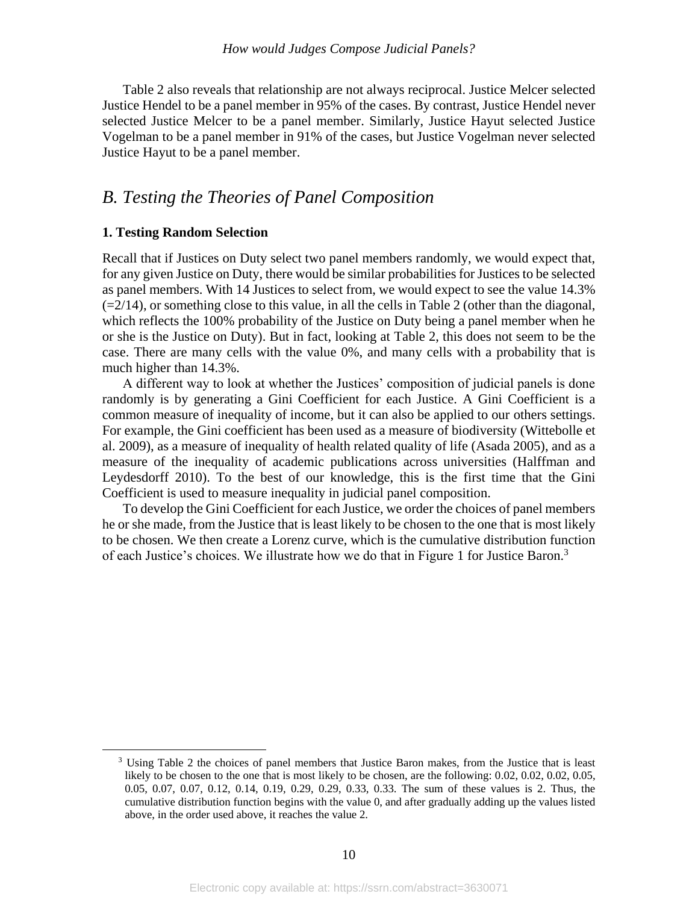Table 2 also reveals that relationship are not always reciprocal. Justice Melcer selected Justice Hendel to be a panel member in 95% of the cases. By contrast, Justice Hendel never selected Justice Melcer to be a panel member. Similarly, Justice Hayut selected Justice Vogelman to be a panel member in 91% of the cases, but Justice Vogelman never selected Justice Hayut to be a panel member.

## *B. Testing the Theories of Panel Composition*

#### **1. Testing Random Selection**

 $\overline{a}$ 

Recall that if Justices on Duty select two panel members randomly, we would expect that, for any given Justice on Duty, there would be similar probabilities for Justices to be selected as panel members. With 14 Justices to select from, we would expect to see the value 14.3%  $(=2/14)$ , or something close to this value, in all the cells in Table 2 (other than the diagonal, which reflects the 100% probability of the Justice on Duty being a panel member when he or she is the Justice on Duty). But in fact, looking at Table 2, this does not seem to be the case. There are many cells with the value 0%, and many cells with a probability that is much higher than 14.3%.

A different way to look at whether the Justices' composition of judicial panels is done randomly is by generating a Gini Coefficient for each Justice. A Gini Coefficient is a common measure of inequality of income, but it can also be applied to our others settings. For example, the Gini coefficient has been used as a measure of biodiversity (Wittebolle et al. 2009), as a measure of inequality of health related quality of life (Asada 2005), and as a measure of the inequality of academic publications across universities (Halffman and Leydesdorff 2010). To the best of our knowledge, this is the first time that the Gini Coefficient is used to measure inequality in judicial panel composition.

To develop the Gini Coefficient for each Justice, we order the choices of panel members he or she made, from the Justice that is least likely to be chosen to the one that is most likely to be chosen. We then create a Lorenz curve, which is the cumulative distribution function of each Justice's choices. We illustrate how we do that in Figure 1 for Justice Baron.<sup>3</sup>

<sup>&</sup>lt;sup>3</sup> Using Table 2 the choices of panel members that Justice Baron makes, from the Justice that is least likely to be chosen to the one that is most likely to be chosen, are the following: 0.02, 0.02, 0.02, 0.05, 0.05, 0.07, 0.07, 0.12, 0.14, 0.19, 0.29, 0.29, 0.33, 0.33. The sum of these values is 2. Thus, the cumulative distribution function begins with the value 0, and after gradually adding up the values listed above, in the order used above, it reaches the value 2.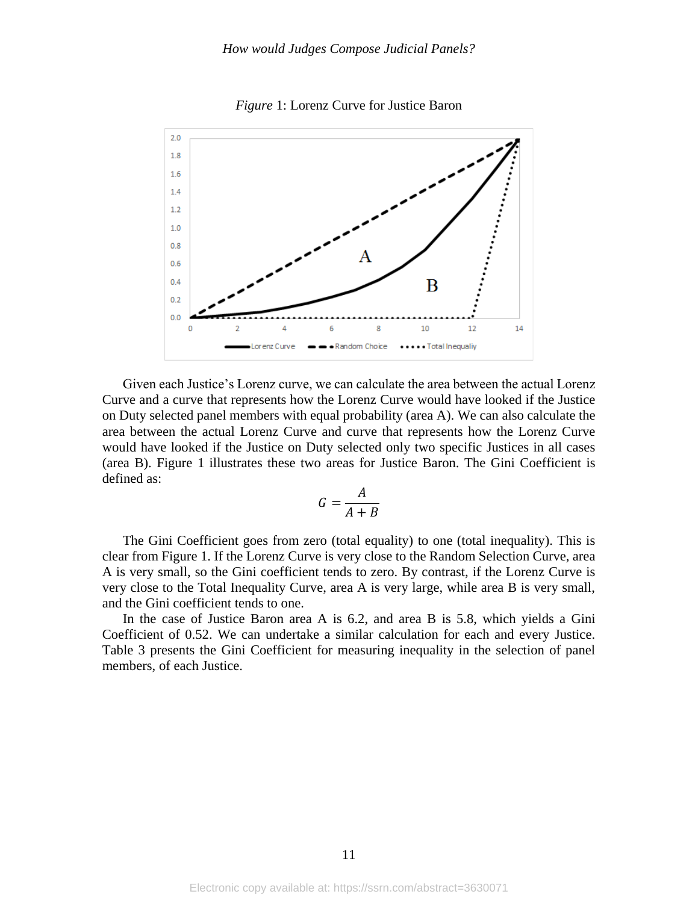

*Figure* 1: Lorenz Curve for Justice Baron

Given each Justice's Lorenz curve, we can calculate the area between the actual Lorenz Curve and a curve that represents how the Lorenz Curve would have looked if the Justice on Duty selected panel members with equal probability (area A). We can also calculate the area between the actual Lorenz Curve and curve that represents how the Lorenz Curve would have looked if the Justice on Duty selected only two specific Justices in all cases (area B). Figure 1 illustrates these two areas for Justice Baron. The Gini Coefficient is defined as:

$$
G = \frac{A}{A+B}
$$

The Gini Coefficient goes from zero (total equality) to one (total inequality). This is clear from Figure 1. If the Lorenz Curve is very close to the Random Selection Curve, area A is very small, so the Gini coefficient tends to zero. By contrast, if the Lorenz Curve is very close to the Total Inequality Curve, area A is very large, while area B is very small, and the Gini coefficient tends to one.

In the case of Justice Baron area A is 6.2, and area B is 5.8, which yields a Gini Coefficient of 0.52. We can undertake a similar calculation for each and every Justice. Table 3 presents the Gini Coefficient for measuring inequality in the selection of panel members, of each Justice.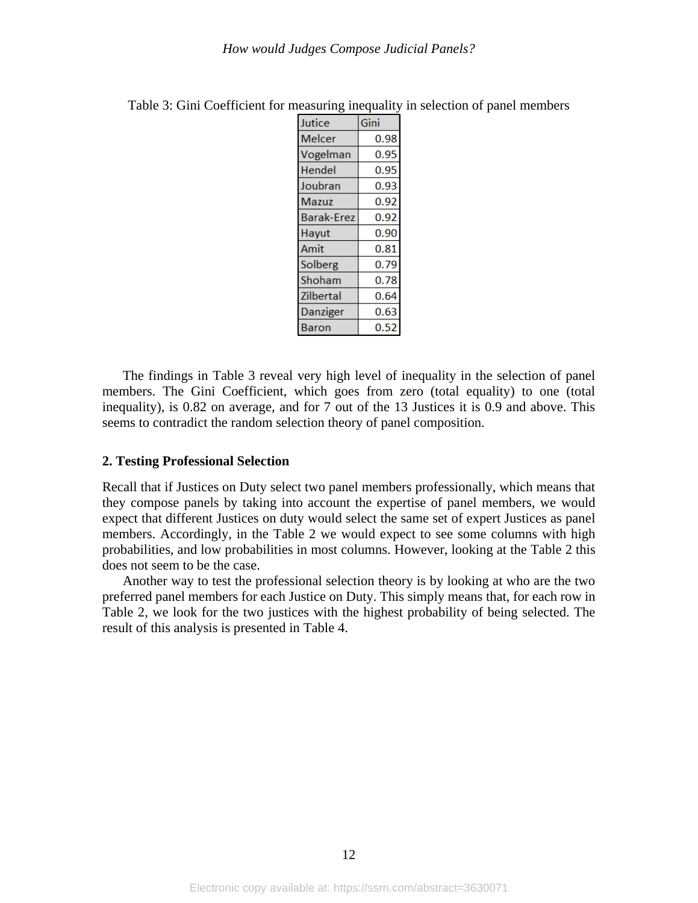| Jutice            | Gini |
|-------------------|------|
| Melcer            | 0.98 |
| Vogelman          | 0.95 |
| Hendel            | 0.95 |
| Joubran           | 0.93 |
| <b>Mazuz</b>      | 0.92 |
| <b>Barak-Erez</b> | 0.92 |
| Hayut             | 0.90 |
| Amit              | 0.81 |
| Solberg           | 0.79 |
| Shoham            | 0.78 |
| Zilbertal         | 0.64 |
| Danziger          | 0.63 |
| <b>Baron</b>      | 0.52 |

Table 3: Gini Coefficient for measuring inequality in selection of panel members

The findings in Table 3 reveal very high level of inequality in the selection of panel members. The Gini Coefficient, which goes from zero (total equality) to one (total inequality), is 0.82 on average, and for 7 out of the 13 Justices it is 0.9 and above. This seems to contradict the random selection theory of panel composition.

#### **2. Testing Professional Selection**

Recall that if Justices on Duty select two panel members professionally, which means that they compose panels by taking into account the expertise of panel members, we would expect that different Justices on duty would select the same set of expert Justices as panel members. Accordingly, in the Table 2 we would expect to see some columns with high probabilities, and low probabilities in most columns. However, looking at the Table 2 this does not seem to be the case.

Another way to test the professional selection theory is by looking at who are the two preferred panel members for each Justice on Duty. This simply means that, for each row in Table 2, we look for the two justices with the highest probability of being selected. The result of this analysis is presented in Table 4.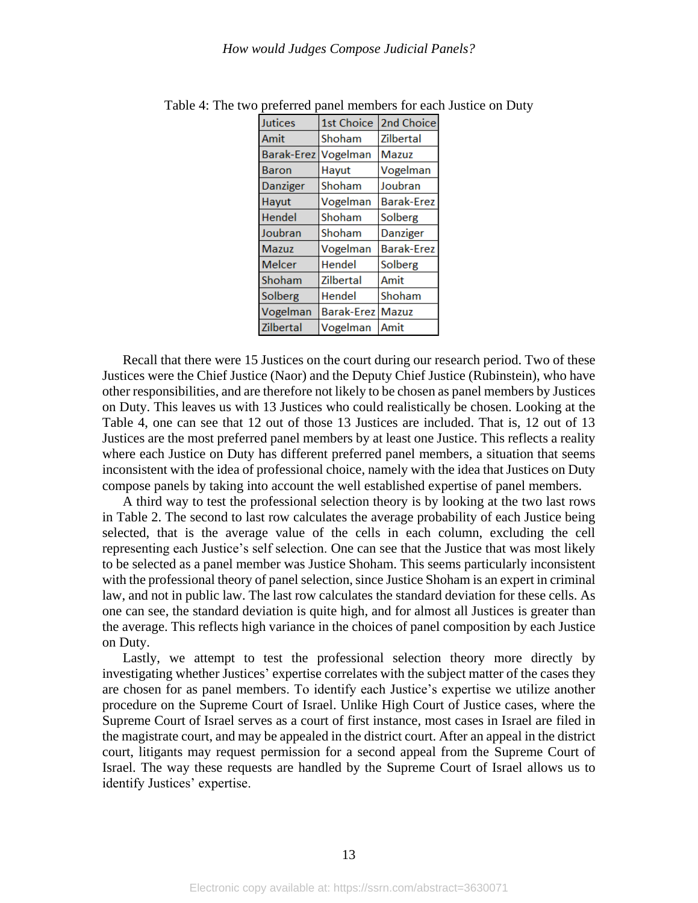| <b>Jutices</b>    | <b>1st Choice</b> | 2nd Choice        |
|-------------------|-------------------|-------------------|
| Amit              | Shoham            | Zilbertal         |
| <b>Barak-Erez</b> | Vogelman          | Mazuz             |
| <b>Baron</b>      | Hayut             | Vogelman          |
| Danziger          | Shoham            | Joubran           |
| Hayut             | Vogelman          | <b>Barak-Erez</b> |
| Hendel            | Shoham            | Solberg           |
| Joubran           | Shoham            | Danziger          |
| <b>Mazuz</b>      | Vogelman          | <b>Barak-Erez</b> |
| <b>Melcer</b>     | Hendel            | Solberg           |
| Shoham            | Zilbertal         | Amit              |
| Solberg           | Hendel            | Shoham            |
| Vogelman          | <b>Barak-Erez</b> | Mazuz             |
| Zilbertal         | Vogelman          | Amit              |

Table 4: The two preferred panel members for each Justice on Duty

Recall that there were 15 Justices on the court during our research period. Two of these Justices were the Chief Justice (Naor) and the Deputy Chief Justice (Rubinstein), who have other responsibilities, and are therefore not likely to be chosen as panel members by Justices on Duty. This leaves us with 13 Justices who could realistically be chosen. Looking at the Table 4, one can see that 12 out of those 13 Justices are included. That is, 12 out of 13 Justices are the most preferred panel members by at least one Justice. This reflects a reality where each Justice on Duty has different preferred panel members, a situation that seems inconsistent with the idea of professional choice, namely with the idea that Justices on Duty compose panels by taking into account the well established expertise of panel members.

A third way to test the professional selection theory is by looking at the two last rows in Table 2. The second to last row calculates the average probability of each Justice being selected, that is the average value of the cells in each column, excluding the cell representing each Justice's self selection. One can see that the Justice that was most likely to be selected as a panel member was Justice Shoham. This seems particularly inconsistent with the professional theory of panel selection, since Justice Shoham is an expert in criminal law, and not in public law. The last row calculates the standard deviation for these cells. As one can see, the standard deviation is quite high, and for almost all Justices is greater than the average. This reflects high variance in the choices of panel composition by each Justice on Duty.

Lastly, we attempt to test the professional selection theory more directly by investigating whether Justices' expertise correlates with the subject matter of the cases they are chosen for as panel members. To identify each Justice's expertise we utilize another procedure on the Supreme Court of Israel. Unlike High Court of Justice cases, where the Supreme Court of Israel serves as a court of first instance, most cases in Israel are filed in the magistrate court, and may be appealed in the district court. After an appeal in the district court, litigants may request permission for a second appeal from the Supreme Court of Israel. The way these requests are handled by the Supreme Court of Israel allows us to identify Justices' expertise.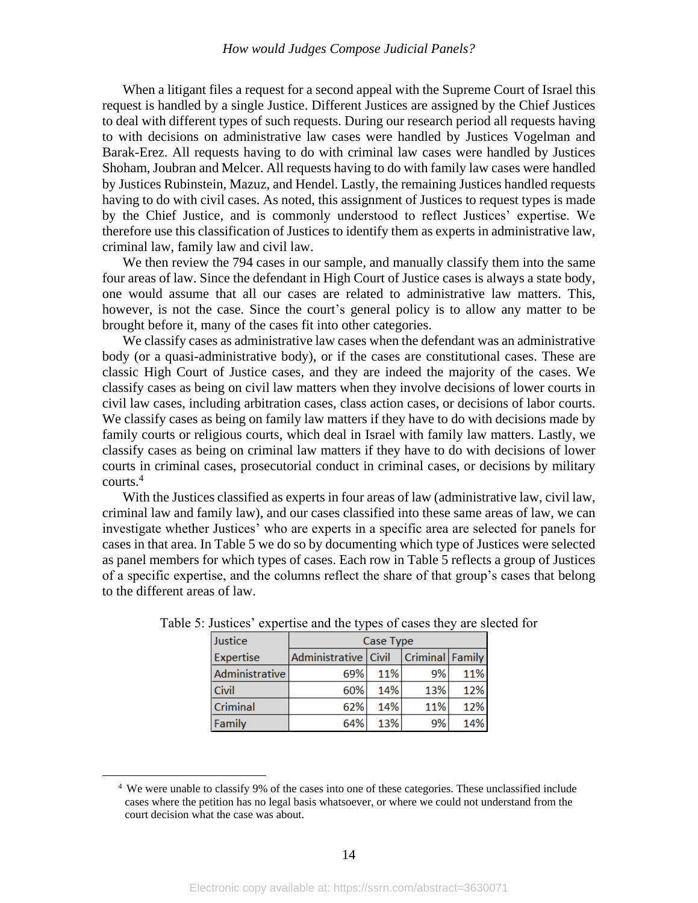When a litigant files a request for a second appeal with the Supreme Court of Israel this request is handled by a single Justice. Different Justices are assigned by the Chief Justices to deal with different types of such requests. During our research period all requests having to with decisions on administrative law cases were handled by Justices Vogelman and Barak-Erez. All requests having to do with criminal law cases were handled by Justices Shoham, Joubran and Melcer. All requests having to do with family law cases were handled by Justices Rubinstein, Mazuz, and Hendel. Lastly, the remaining Justices handled requests having to do with civil cases. As noted, this assignment of Justices to request types is made by the Chief Justice, and is commonly understood to reflect Justices' expertise. We therefore use this classification of Justices to identify them as experts in administrative law, criminal law, family law and civil law.

We then review the 794 cases in our sample, and manually classify them into the same four areas of law. Since the defendant in High Court of Justice cases is always a state body, one would assume that all our cases are related to administrative law matters. This, however, is not the case. Since the court's general policy is to allow any matter to be brought before it, many of the cases fit into other categories.

We classify cases as administrative law cases when the defendant was an administrative body (or a quasi-administrative body), or if the cases are constitutional cases. These are classic High Court of Justice cases, and they are indeed the majority of the cases. We classify cases as being on civil law matters when they involve decisions of lower courts in civil law cases, including arbitration cases, class action cases, or decisions of labor courts. We classify cases as being on family law matters if they have to do with decisions made by family courts or religious courts, which deal in Israel with family law matters. Lastly, we classify cases as being on criminal law matters if they have to do with decisions of lower courts in criminal cases, prosecutorial conduct in criminal cases, or decisions by military courts.<sup>4</sup>

With the Justices classified as experts in four areas of law (administrative law, civil law, criminal law and family law), and our cases classified into these same areas of law, we can investigate whether Justices' who are experts in a specific area are selected for panels for cases in that area. In Table 5 we do so by documenting which type of Justices were selected as panel members for which types of cases. Each row in Table 5 reflects a group of Justices of a specific expertise, and the columns reflect the share of that group's cases that belong to the different areas of law.

| Justice        | Case Type              |                        |     |     |  |  |  |  |
|----------------|------------------------|------------------------|-----|-----|--|--|--|--|
| Expertise      | Administrative   Civil | Criminal Family<br>69% |     |     |  |  |  |  |
| Administrative |                        | 11%                    | 9%  | 11% |  |  |  |  |
| Civil          | 60%                    | 14%                    | 13% | 12% |  |  |  |  |
| Criminal       | 62%                    | 14%                    | 11% | 12% |  |  |  |  |
| Family         | 64%                    | 13%                    | 9%  | 14% |  |  |  |  |

Table 5: Justices' expertise and the types of cases they are slected for

<sup>4</sup> We were unable to classify 9% of the cases into one of these categories. These unclassified include cases where the petition has no legal basis whatsoever, or where we could not understand from the court decision what the case was about.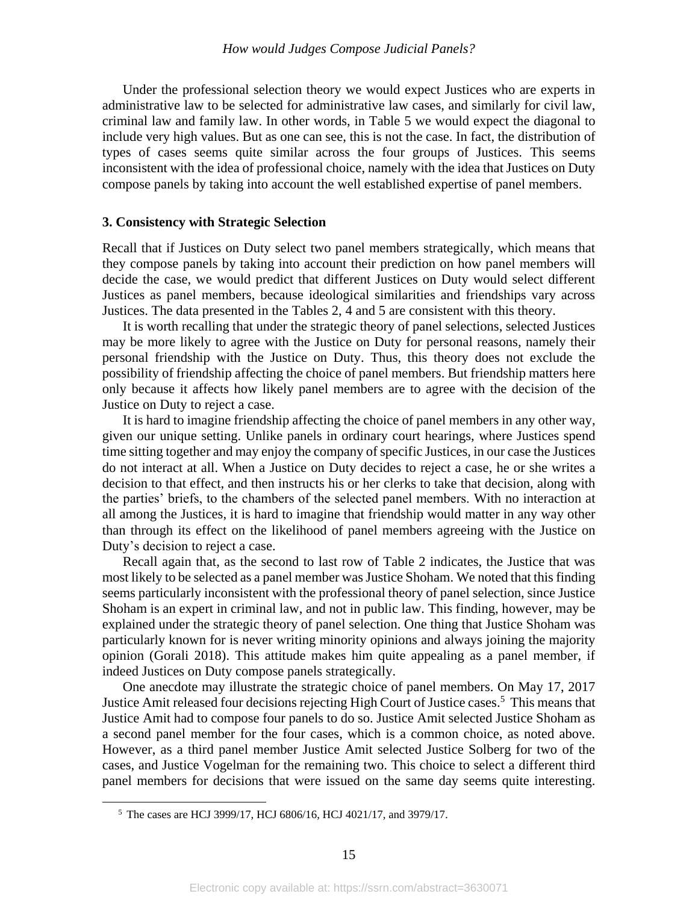Under the professional selection theory we would expect Justices who are experts in administrative law to be selected for administrative law cases, and similarly for civil law, criminal law and family law. In other words, in Table 5 we would expect the diagonal to include very high values. But as one can see, this is not the case. In fact, the distribution of types of cases seems quite similar across the four groups of Justices. This seems inconsistent with the idea of professional choice, namely with the idea that Justices on Duty compose panels by taking into account the well established expertise of panel members.

#### **3. Consistency with Strategic Selection**

Recall that if Justices on Duty select two panel members strategically, which means that they compose panels by taking into account their prediction on how panel members will decide the case, we would predict that different Justices on Duty would select different Justices as panel members, because ideological similarities and friendships vary across Justices. The data presented in the Tables 2, 4 and 5 are consistent with this theory.

It is worth recalling that under the strategic theory of panel selections, selected Justices may be more likely to agree with the Justice on Duty for personal reasons, namely their personal friendship with the Justice on Duty. Thus, this theory does not exclude the possibility of friendship affecting the choice of panel members. But friendship matters here only because it affects how likely panel members are to agree with the decision of the Justice on Duty to reject a case.

It is hard to imagine friendship affecting the choice of panel members in any other way, given our unique setting. Unlike panels in ordinary court hearings, where Justices spend time sitting together and may enjoy the company of specific Justices, in our case the Justices do not interact at all. When a Justice on Duty decides to reject a case, he or she writes a decision to that effect, and then instructs his or her clerks to take that decision, along with the parties' briefs, to the chambers of the selected panel members. With no interaction at all among the Justices, it is hard to imagine that friendship would matter in any way other than through its effect on the likelihood of panel members agreeing with the Justice on Duty's decision to reject a case.

Recall again that, as the second to last row of Table 2 indicates, the Justice that was most likely to be selected as a panel member was Justice Shoham. We noted that this finding seems particularly inconsistent with the professional theory of panel selection, since Justice Shoham is an expert in criminal law, and not in public law. This finding, however, may be explained under the strategic theory of panel selection. One thing that Justice Shoham was particularly known for is never writing minority opinions and always joining the majority opinion (Gorali 2018). This attitude makes him quite appealing as a panel member, if indeed Justices on Duty compose panels strategically.

One anecdote may illustrate the strategic choice of panel members. On May 17, 2017 Justice Amit released four decisions rejecting High Court of Justice cases.<sup>5</sup> This means that Justice Amit had to compose four panels to do so. Justice Amit selected Justice Shoham as a second panel member for the four cases, which is a common choice, as noted above. However, as a third panel member Justice Amit selected Justice Solberg for two of the cases, and Justice Vogelman for the remaining two. This choice to select a different third panel members for decisions that were issued on the same day seems quite interesting.

<sup>5</sup> The cases are HCJ 3999/17, HCJ 6806/16, HCJ 4021/17, and 3979/17.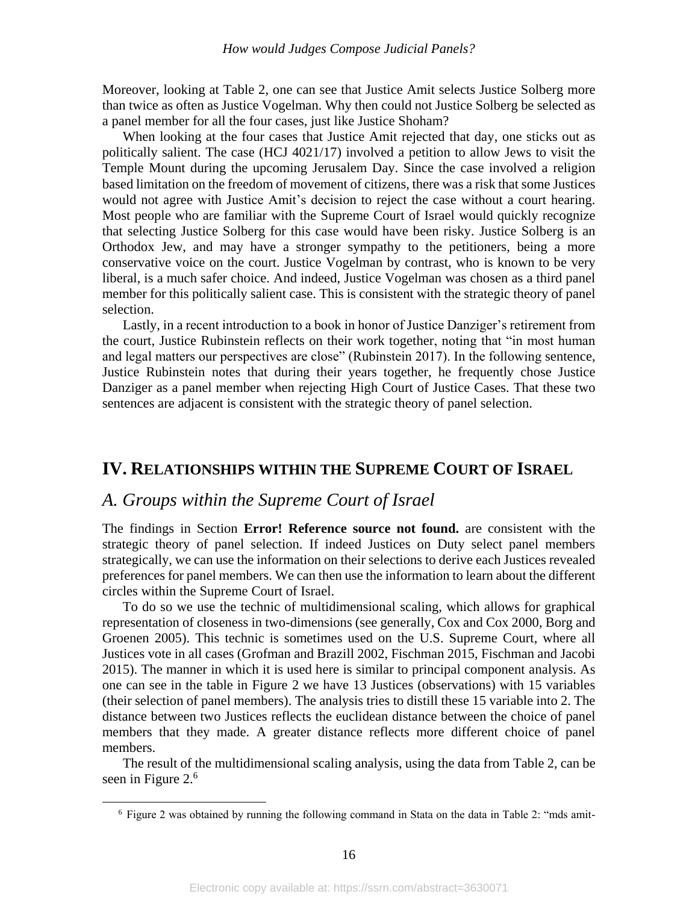Moreover, looking at Table 2, one can see that Justice Amit selects Justice Solberg more than twice as often as Justice Vogelman. Why then could not Justice Solberg be selected as a panel member for all the four cases, just like Justice Shoham?

When looking at the four cases that Justice Amit rejected that day, one sticks out as politically salient. The case (HCJ 4021/17) involved a petition to allow Jews to visit the Temple Mount during the upcoming Jerusalem Day. Since the case involved a religion based limitation on the freedom of movement of citizens, there was a risk that some Justices would not agree with Justice Amit's decision to reject the case without a court hearing. Most people who are familiar with the Supreme Court of Israel would quickly recognize that selecting Justice Solberg for this case would have been risky. Justice Solberg is an Orthodox Jew, and may have a stronger sympathy to the petitioners, being a more conservative voice on the court. Justice Vogelman by contrast, who is known to be very liberal, is a much safer choice. And indeed, Justice Vogelman was chosen as a third panel member for this politically salient case. This is consistent with the strategic theory of panel selection.

Lastly, in a recent introduction to a book in honor of Justice Danziger's retirement from the court, Justice Rubinstein reflects on their work together, noting that "in most human and legal matters our perspectives are close" (Rubinstein 2017). In the following sentence, Justice Rubinstein notes that during their years together, he frequently chose Justice Danziger as a panel member when rejecting High Court of Justice Cases. That these two sentences are adjacent is consistent with the strategic theory of panel selection.

## **IV. RELATIONSHIPS WITHIN THE SUPREME COURT OF ISRAEL**

## *A. Groups within the Supreme Court of Israel*

 $\overline{a}$ 

The findings in Section **Error! Reference source not found.** are consistent with the strategic theory of panel selection. If indeed Justices on Duty select panel members strategically, we can use the information on their selections to derive each Justices revealed preferences for panel members. We can then use the information to learn about the different circles within the Supreme Court of Israel.

To do so we use the technic of multidimensional scaling, which allows for graphical representation of closeness in two-dimensions (see generally, Cox and Cox 2000, Borg and Groenen 2005). This technic is sometimes used on the U.S. Supreme Court, where all Justices vote in all cases (Grofman and Brazill 2002, Fischman 2015, Fischman and Jacobi 2015). The manner in which it is used here is similar to principal component analysis. As one can see in the table in Figure 2 we have 13 Justices (observations) with 15 variables (their selection of panel members). The analysis tries to distill these 15 variable into 2. The distance between two Justices reflects the euclidean distance between the choice of panel members that they made. A greater distance reflects more different choice of panel members.

The result of the multidimensional scaling analysis, using the data from Table 2, can be seen in Figure 2.<sup>6</sup>

<sup>6</sup> Figure 2 was obtained by running the following command in Stata on the data in Table 2: "mds amit-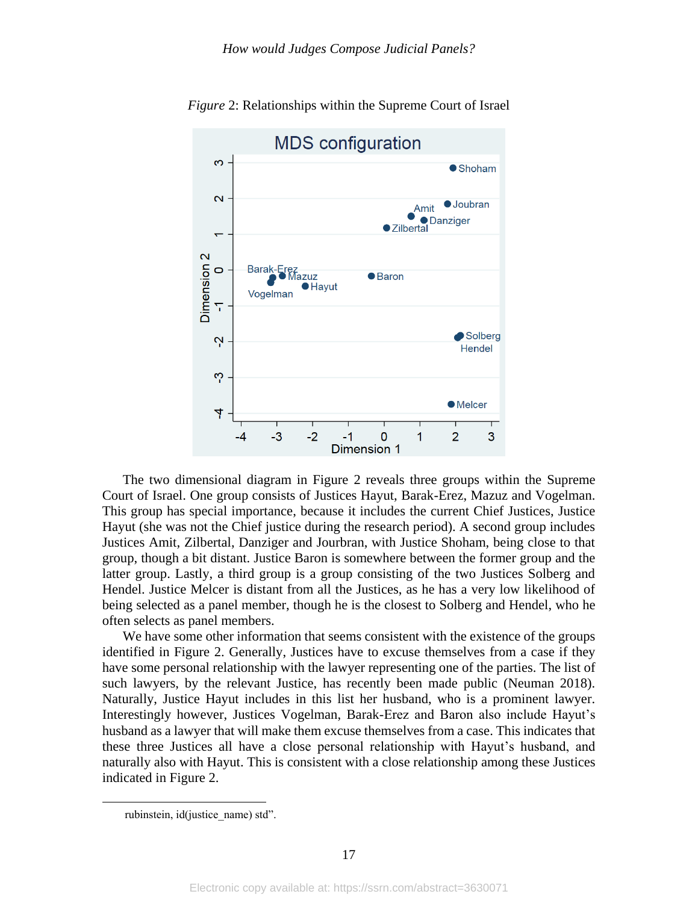

*Figure* 2: Relationships within the Supreme Court of Israel

The two dimensional diagram in Figure 2 reveals three groups within the Supreme Court of Israel. One group consists of Justices Hayut, Barak-Erez, Mazuz and Vogelman. This group has special importance, because it includes the current Chief Justices, Justice Hayut (she was not the Chief justice during the research period). A second group includes Justices Amit, Zilbertal, Danziger and Jourbran, with Justice Shoham, being close to that group, though a bit distant. Justice Baron is somewhere between the former group and the latter group. Lastly, a third group is a group consisting of the two Justices Solberg and Hendel. Justice Melcer is distant from all the Justices, as he has a very low likelihood of being selected as a panel member, though he is the closest to Solberg and Hendel, who he often selects as panel members.

We have some other information that seems consistent with the existence of the groups identified in Figure 2. Generally, Justices have to excuse themselves from a case if they have some personal relationship with the lawyer representing one of the parties. The list of such lawyers, by the relevant Justice, has recently been made public (Neuman 2018). Naturally, Justice Hayut includes in this list her husband, who is a prominent lawyer. Interestingly however, Justices Vogelman, Barak-Erez and Baron also include Hayut's husband as a lawyer that will make them excuse themselves from a case. This indicates that these three Justices all have a close personal relationship with Hayut's husband, and naturally also with Hayut. This is consistent with a close relationship among these Justices indicated in Figure 2.

rubinstein, id(justice\_name) std".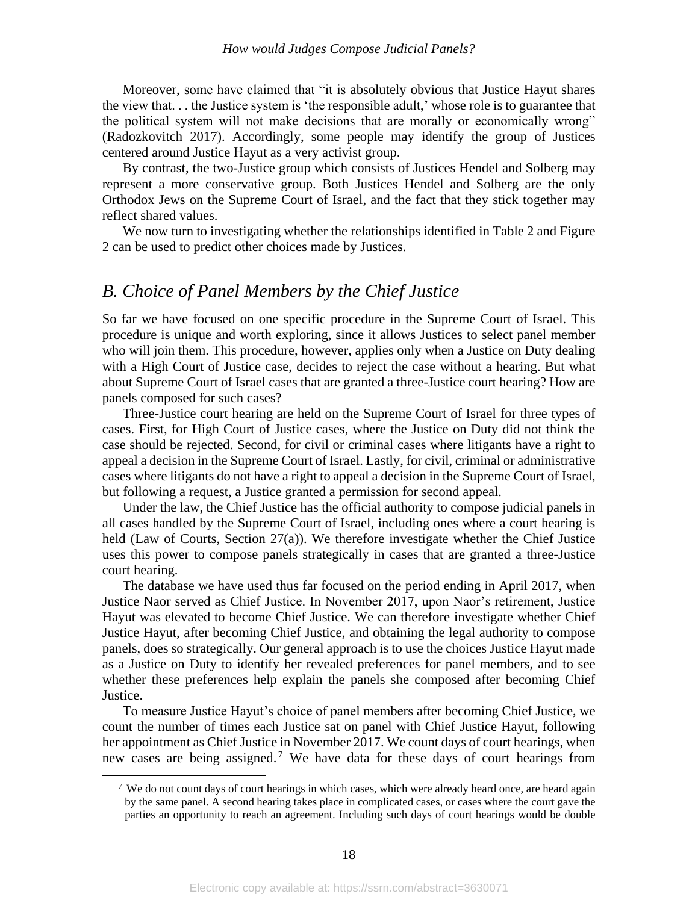Moreover, some have claimed that "it is absolutely obvious that Justice Hayut shares the view that. . . the Justice system is 'the responsible adult,' whose role is to guarantee that the political system will not make decisions that are morally or economically wrong" (Radozkovitch 2017). Accordingly, some people may identify the group of Justices centered around Justice Hayut as a very activist group.

By contrast, the two-Justice group which consists of Justices Hendel and Solberg may represent a more conservative group. Both Justices Hendel and Solberg are the only Orthodox Jews on the Supreme Court of Israel, and the fact that they stick together may reflect shared values.

We now turn to investigating whether the relationships identified in Table 2 and Figure 2 can be used to predict other choices made by Justices.

## *B. Choice of Panel Members by the Chief Justice*

So far we have focused on one specific procedure in the Supreme Court of Israel. This procedure is unique and worth exploring, since it allows Justices to select panel member who will join them. This procedure, however, applies only when a Justice on Duty dealing with a High Court of Justice case, decides to reject the case without a hearing. But what about Supreme Court of Israel cases that are granted a three-Justice court hearing? How are panels composed for such cases?

Three-Justice court hearing are held on the Supreme Court of Israel for three types of cases. First, for High Court of Justice cases, where the Justice on Duty did not think the case should be rejected. Second, for civil or criminal cases where litigants have a right to appeal a decision in the Supreme Court of Israel. Lastly, for civil, criminal or administrative cases where litigants do not have a right to appeal a decision in the Supreme Court of Israel, but following a request, a Justice granted a permission for second appeal.

Under the law, the Chief Justice has the official authority to compose judicial panels in all cases handled by the Supreme Court of Israel, including ones where a court hearing is held (Law of Courts, Section 27(a)). We therefore investigate whether the Chief Justice uses this power to compose panels strategically in cases that are granted a three-Justice court hearing.

The database we have used thus far focused on the period ending in April 2017, when Justice Naor served as Chief Justice. In November 2017, upon Naor's retirement, Justice Hayut was elevated to become Chief Justice. We can therefore investigate whether Chief Justice Hayut, after becoming Chief Justice, and obtaining the legal authority to compose panels, does so strategically. Our general approach is to use the choices Justice Hayut made as a Justice on Duty to identify her revealed preferences for panel members, and to see whether these preferences help explain the panels she composed after becoming Chief Justice.

To measure Justice Hayut's choice of panel members after becoming Chief Justice, we count the number of times each Justice sat on panel with Chief Justice Hayut, following her appointment as Chief Justice in November 2017. We count days of court hearings, when new cases are being assigned. <sup>7</sup> We have data for these days of court hearings from

 $7$  We do not count days of court hearings in which cases, which were already heard once, are heard again by the same panel. A second hearing takes place in complicated cases, or cases where the court gave the parties an opportunity to reach an agreement. Including such days of court hearings would be double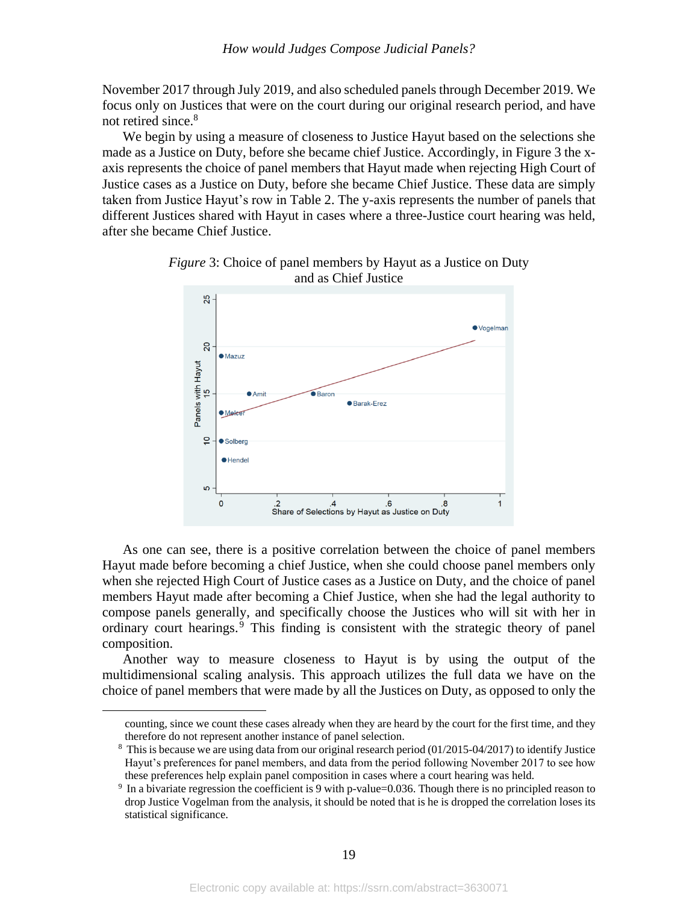November 2017 through July 2019, and also scheduled panels through December 2019. We focus only on Justices that were on the court during our original research period, and have not retired since.<sup>8</sup>

We begin by using a measure of closeness to Justice Hayut based on the selections she made as a Justice on Duty, before she became chief Justice. Accordingly, in Figure 3 the xaxis represents the choice of panel members that Hayut made when rejecting High Court of Justice cases as a Justice on Duty, before she became Chief Justice. These data are simply taken from Justice Hayut's row in Table 2. The y-axis represents the number of panels that different Justices shared with Hayut in cases where a three-Justice court hearing was held, after she became Chief Justice.



*Figure* 3: Choice of panel members by Hayut as a Justice on Duty and as Chief Justice

As one can see, there is a positive correlation between the choice of panel members Hayut made before becoming a chief Justice, when she could choose panel members only when she rejected High Court of Justice cases as a Justice on Duty, and the choice of panel members Hayut made after becoming a Chief Justice, when she had the legal authority to compose panels generally, and specifically choose the Justices who will sit with her in ordinary court hearings. <sup>9</sup> This finding is consistent with the strategic theory of panel composition.

Another way to measure closeness to Hayut is by using the output of the multidimensional scaling analysis. This approach utilizes the full data we have on the choice of panel members that were made by all the Justices on Duty, as opposed to only the

counting, since we count these cases already when they are heard by the court for the first time, and they therefore do not represent another instance of panel selection.

<sup>&</sup>lt;sup>8</sup> This is because we are using data from our original research period (01/2015-04/2017) to identify Justice Hayut's preferences for panel members, and data from the period following November 2017 to see how these preferences help explain panel composition in cases where a court hearing was held.

<sup>&</sup>lt;sup>9</sup> In a bivariate regression the coefficient is 9 with p-value=0.036. Though there is no principled reason to drop Justice Vogelman from the analysis, it should be noted that is he is dropped the correlation loses its statistical significance.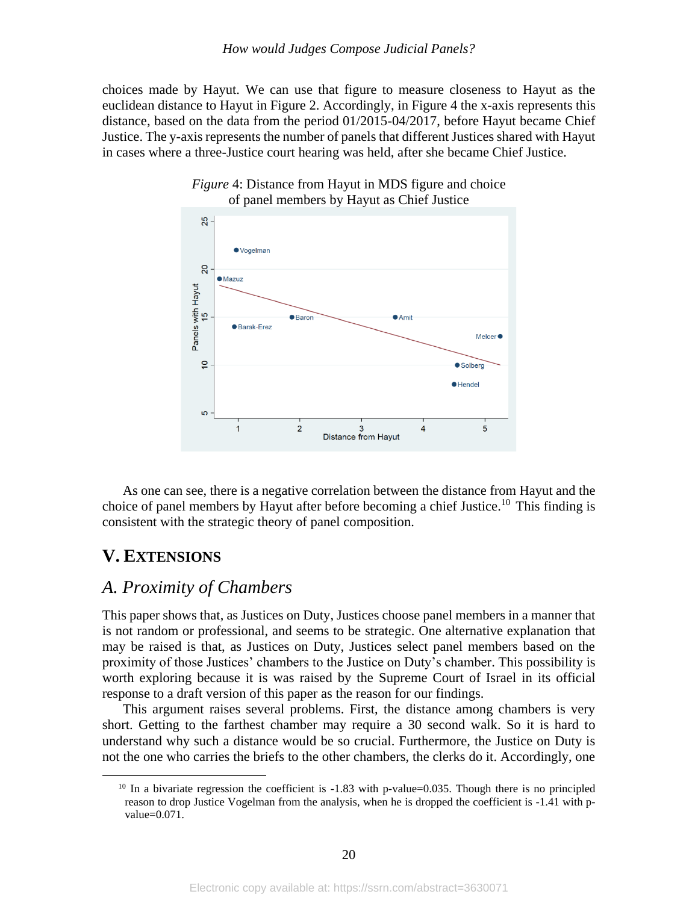choices made by Hayut. We can use that figure to measure closeness to Hayut as the euclidean distance to Hayut in Figure 2. Accordingly, in Figure 4 the x-axis represents this distance, based on the data from the period 01/2015-04/2017, before Hayut became Chief Justice. The y-axis represents the number of panels that different Justices shared with Hayut in cases where a three-Justice court hearing was held, after she became Chief Justice.



### *Figure* 4: Distance from Hayut in MDS figure and choice of panel members by Hayut as Chief Justice

As one can see, there is a negative correlation between the distance from Hayut and the choice of panel members by Hayut after before becoming a chief Justice.<sup>10</sup> This finding is consistent with the strategic theory of panel composition.

## **V. EXTENSIONS**

 $\overline{a}$ 

## *A. Proximity of Chambers*

This paper shows that, as Justices on Duty, Justices choose panel members in a manner that is not random or professional, and seems to be strategic. One alternative explanation that may be raised is that, as Justices on Duty, Justices select panel members based on the proximity of those Justices' chambers to the Justice on Duty's chamber. This possibility is worth exploring because it is was raised by the Supreme Court of Israel in its official response to a draft version of this paper as the reason for our findings.

This argument raises several problems. First, the distance among chambers is very short. Getting to the farthest chamber may require a 30 second walk. So it is hard to understand why such a distance would be so crucial. Furthermore, the Justice on Duty is not the one who carries the briefs to the other chambers, the clerks do it. Accordingly, one

 $10$  In a bivariate regression the coefficient is  $-1.83$  with p-value=0.035. Though there is no principled reason to drop Justice Vogelman from the analysis, when he is dropped the coefficient is -1.41 with pvalue=0.071.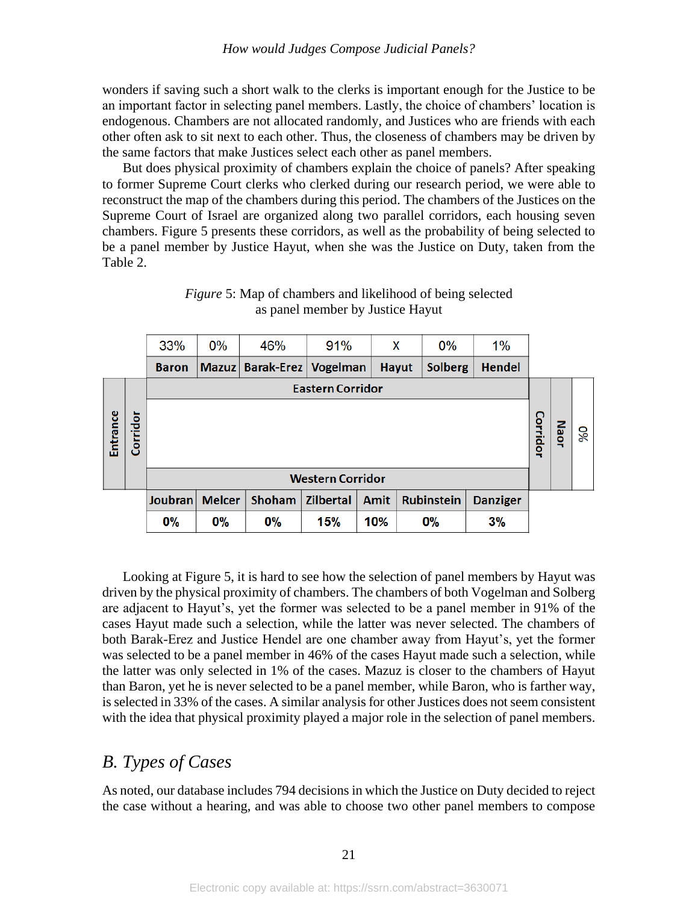wonders if saving such a short walk to the clerks is important enough for the Justice to be an important factor in selecting panel members. Lastly, the choice of chambers' location is endogenous. Chambers are not allocated randomly, and Justices who are friends with each other often ask to sit next to each other. Thus, the closeness of chambers may be driven by the same factors that make Justices select each other as panel members.

But does physical proximity of chambers explain the choice of panels? After speaking to former Supreme Court clerks who clerked during our research period, we were able to reconstruct the map of the chambers during this period. The chambers of the Justices on the Supreme Court of Israel are organized along two parallel corridors, each housing seven chambers. Figure 5 presents these corridors, as well as the probability of being selected to be a panel member by Justice Hayut, when she was the Justice on Duty, taken from the Table 2.

|                 |          | 33%          | $0\%$         | 46%                          | 91%                     |             | x     | 0%                | 1%              |          |             |    |
|-----------------|----------|--------------|---------------|------------------------------|-------------------------|-------------|-------|-------------------|-----------------|----------|-------------|----|
|                 |          | <b>Baron</b> | Mazuz         | <b>Barak-Erez   Vogelman</b> |                         |             | Hayut | <b>Solberg</b>    | <b>Hendel</b>   |          |             |    |
|                 |          |              |               |                              | <b>Eastern Corridor</b> |             |       |                   |                 |          |             |    |
|                 |          |              |               |                              |                         |             |       |                   |                 |          |             |    |
| <b>Entrance</b> | Corridor |              |               |                              |                         |             |       |                   |                 | Corridor | <b>Naor</b> | 9% |
|                 |          |              |               |                              |                         |             |       |                   |                 |          |             |    |
|                 |          |              |               |                              | <b>Western Corridor</b> |             |       |                   |                 |          |             |    |
|                 |          | Joubran      | <b>Melcer</b> | <b>Shoham</b>                | <b>Zilbertal</b>        | <b>Amit</b> |       | <b>Rubinstein</b> | <b>Danziger</b> |          |             |    |
|                 |          | 0%           | 0%            | 0%                           | <b>15%</b>              | 10%         |       | 0%                | 3%              |          |             |    |

### *Figure* 5: Map of chambers and likelihood of being selected as panel member by Justice Hayut

Looking at Figure 5, it is hard to see how the selection of panel members by Hayut was driven by the physical proximity of chambers. The chambers of both Vogelman and Solberg are adjacent to Hayut's, yet the former was selected to be a panel member in 91% of the cases Hayut made such a selection, while the latter was never selected. The chambers of both Barak-Erez and Justice Hendel are one chamber away from Hayut's, yet the former was selected to be a panel member in 46% of the cases Hayut made such a selection, while the latter was only selected in 1% of the cases. Mazuz is closer to the chambers of Hayut than Baron, yet he is never selected to be a panel member, while Baron, who is farther way, is selected in 33% of the cases. A similar analysis for other Justices does not seem consistent with the idea that physical proximity played a major role in the selection of panel members.

## *B. Types of Cases*

As noted, our database includes 794 decisions in which the Justice on Duty decided to reject the case without a hearing, and was able to choose two other panel members to compose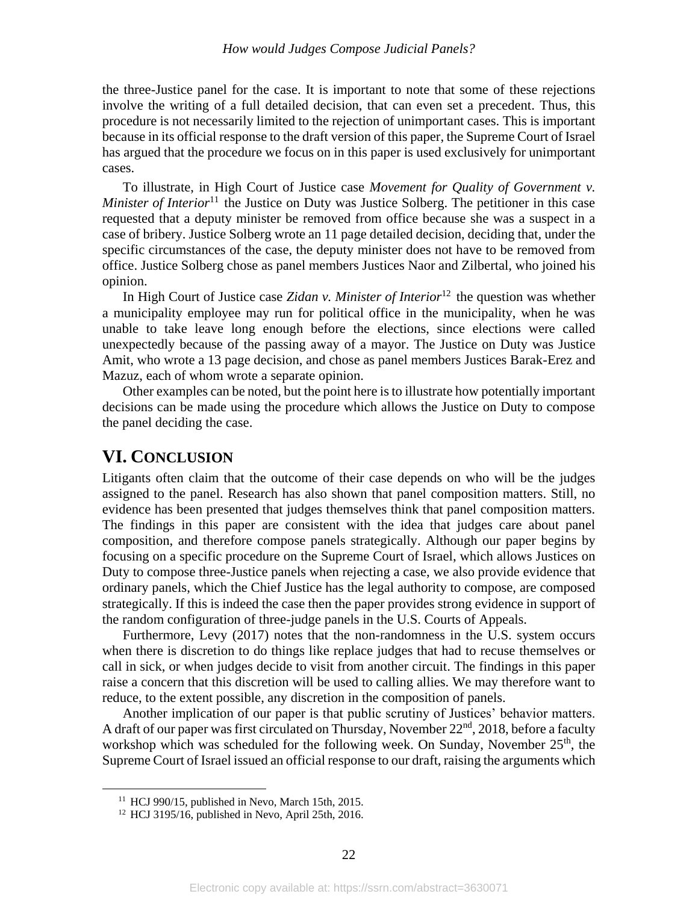#### *How would Judges Compose Judicial Panels?*

the three-Justice panel for the case. It is important to note that some of these rejections involve the writing of a full detailed decision, that can even set a precedent. Thus, this procedure is not necessarily limited to the rejection of unimportant cases. This is important because in its official response to the draft version of this paper, the Supreme Court of Israel has argued that the procedure we focus on in this paper is used exclusively for unimportant cases.

To illustrate, in High Court of Justice case *Movement for Quality of Government v. Minister of Interior*<sup>11</sup> the Justice on Duty was Justice Solberg. The petitioner in this case requested that a deputy minister be removed from office because she was a suspect in a case of bribery. Justice Solberg wrote an 11 page detailed decision, deciding that, under the specific circumstances of the case, the deputy minister does not have to be removed from office. Justice Solberg chose as panel members Justices Naor and Zilbertal, who joined his opinion.

In High Court of Justice case *Zidan v. Minister of Interior*<sup>12</sup> the question was whether a municipality employee may run for political office in the municipality, when he was unable to take leave long enough before the elections, since elections were called unexpectedly because of the passing away of a mayor. The Justice on Duty was Justice Amit, who wrote a 13 page decision, and chose as panel members Justices Barak-Erez and Mazuz, each of whom wrote a separate opinion.

Other examples can be noted, but the point here is to illustrate how potentially important decisions can be made using the procedure which allows the Justice on Duty to compose the panel deciding the case.

### **VI. CONCLUSION**

 $\overline{a}$ 

Litigants often claim that the outcome of their case depends on who will be the judges assigned to the panel. Research has also shown that panel composition matters. Still, no evidence has been presented that judges themselves think that panel composition matters. The findings in this paper are consistent with the idea that judges care about panel composition, and therefore compose panels strategically. Although our paper begins by focusing on a specific procedure on the Supreme Court of Israel, which allows Justices on Duty to compose three-Justice panels when rejecting a case, we also provide evidence that ordinary panels, which the Chief Justice has the legal authority to compose, are composed strategically. If this is indeed the case then the paper provides strong evidence in support of the random configuration of three-judge panels in the U.S. Courts of Appeals.

Furthermore, Levy (2017) notes that the non-randomness in the U.S. system occurs when there is discretion to do things like replace judges that had to recuse themselves or call in sick, or when judges decide to visit from another circuit. The findings in this paper raise a concern that this discretion will be used to calling allies. We may therefore want to reduce, to the extent possible, any discretion in the composition of panels.

Another implication of our paper is that public scrutiny of Justices' behavior matters. A draft of our paper was first circulated on Thursday, November 22nd, 2018, before a faculty workshop which was scheduled for the following week. On Sunday, November  $25<sup>th</sup>$ , the Supreme Court of Israel issued an official response to our draft, raising the arguments which

 $11$  HCJ 990/15, published in Nevo, March 15th, 2015.

<sup>12</sup> HCJ 3195/16, published in Nevo, April 25th, 2016.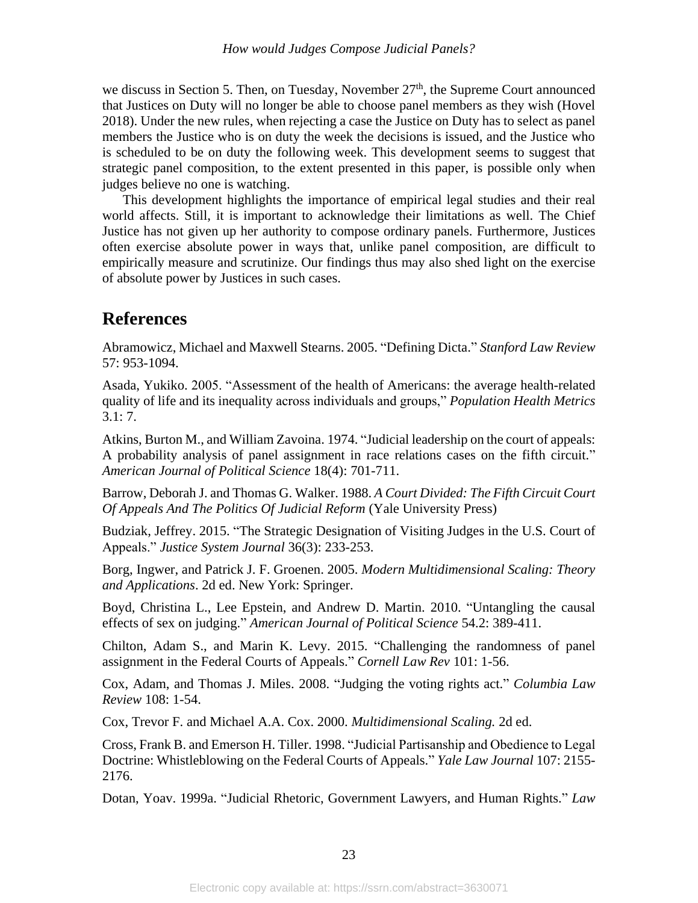we discuss in Section 5. Then, on Tuesday, November  $27<sup>th</sup>$ , the Supreme Court announced that Justices on Duty will no longer be able to choose panel members as they wish (Hovel 2018). Under the new rules, when rejecting a case the Justice on Duty has to select as panel members the Justice who is on duty the week the decisions is issued, and the Justice who is scheduled to be on duty the following week. This development seems to suggest that strategic panel composition, to the extent presented in this paper, is possible only when judges believe no one is watching.

This development highlights the importance of empirical legal studies and their real world affects. Still, it is important to acknowledge their limitations as well. The Chief Justice has not given up her authority to compose ordinary panels. Furthermore, Justices often exercise absolute power in ways that, unlike panel composition, are difficult to empirically measure and scrutinize. Our findings thus may also shed light on the exercise of absolute power by Justices in such cases.

# **References**

Abramowicz, Michael and Maxwell Stearns. 2005. "Defining Dicta." *Stanford Law Review* 57: 953-1094.

Asada, Yukiko. 2005. "Assessment of the health of Americans: the average health-related quality of life and its inequality across individuals and groups," *Population Health Metrics* 3.1: 7.

Atkins, Burton M., and William Zavoina. 1974. "Judicial leadership on the court of appeals: A probability analysis of panel assignment in race relations cases on the fifth circuit." *American Journal of Political Science* 18(4): 701-711.

Barrow, Deborah J. and Thomas G. Walker. 1988. *A Court Divided: The Fifth Circuit Court Of Appeals And The Politics Of Judicial Reform* (Yale University Press)

Budziak, Jeffrey. 2015. "The Strategic Designation of Visiting Judges in the U.S. Court of Appeals." *Justice System Journal* 36(3): 233-253.

Borg, Ingwer, and Patrick J. F. Groenen. 2005. *Modern Multidimensional Scaling: Theory and Applications*. 2d ed. New York: Springer.

Boyd, Christina L., Lee Epstein, and Andrew D. Martin. 2010. "Untangling the causal effects of sex on judging." *American Journal of Political Science* 54.2: 389-411.

Chilton, Adam S., and Marin K. Levy. 2015. "Challenging the randomness of panel assignment in the Federal Courts of Appeals." *Cornell Law Rev* 101: 1-56.

Cox, Adam, and Thomas J. Miles. 2008. "Judging the voting rights act." *Columbia Law Review* 108: 1-54.

Cox, Trevor F. and Michael A.A. Cox. 2000. *Multidimensional Scaling.* 2d ed.

Cross, Frank B. and Emerson H. Tiller. 1998. "Judicial Partisanship and Obedience to Legal Doctrine: Whistleblowing on the Federal Courts of Appeals." *Yale Law Journal* 107: 2155- 2176.

Dotan, Yoav. 1999a. "Judicial Rhetoric, Government Lawyers, and Human Rights." *Law*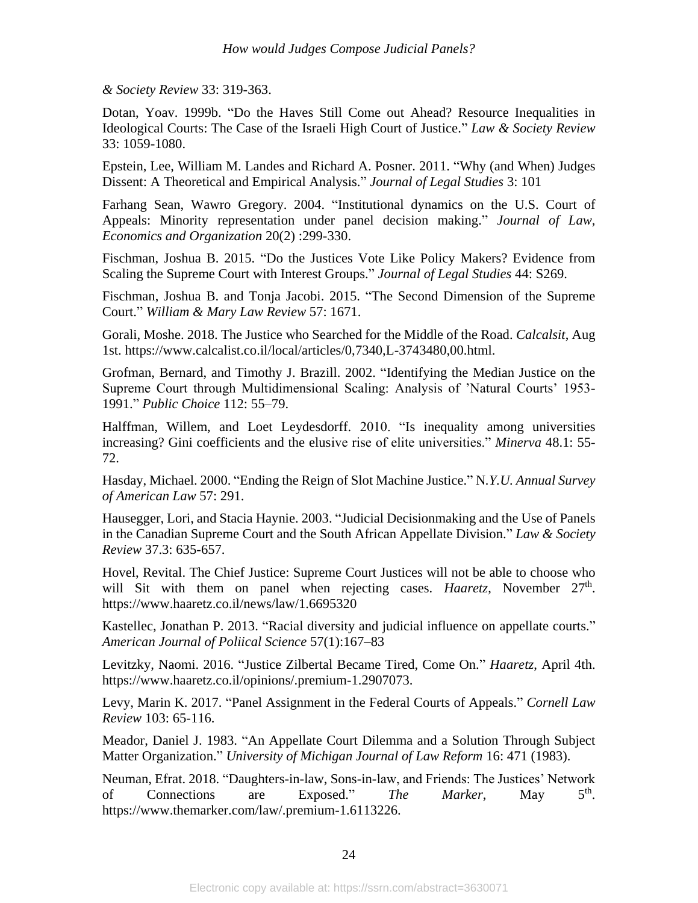*& Society Review* 33: 319-363.

Dotan, Yoav. 1999b. "Do the Haves Still Come out Ahead? Resource Inequalities in Ideological Courts: The Case of the Israeli High Court of Justice." *Law & Society Review* 33: 1059-1080.

Epstein, Lee, William M. Landes and Richard A. Posner. 2011. "Why (and When) Judges Dissent: A Theoretical and Empirical Analysis." *Journal of Legal Studies* 3: 101

Farhang Sean, Wawro Gregory. 2004. "Institutional dynamics on the U.S. Court of Appeals: Minority representation under panel decision making." *Journal of Law, Economics and Organization* 20(2) :299-330.

Fischman, Joshua B. 2015. "Do the Justices Vote Like Policy Makers? Evidence from Scaling the Supreme Court with Interest Groups." *Journal of Legal Studies* 44: S269.

Fischman, Joshua B. and Tonja Jacobi. 2015. "The Second Dimension of the Supreme Court." *William & Mary Law Review* 57: 1671.

Gorali, Moshe. 2018. The Justice who Searched for the Middle of the Road. *Calcalsit*, Aug 1st. https://www.calcalist.co.il/local/articles/0,7340,L-3743480,00.html.

Grofman, Bernard, and Timothy J. Brazill. 2002. "Identifying the Median Justice on the Supreme Court through Multidimensional Scaling: Analysis of 'Natural Courts' 1953- 1991." *Public Choice* 112: 55–79.

Halffman, Willem, and Loet Leydesdorff. 2010. "Is inequality among universities increasing? Gini coefficients and the elusive rise of elite universities." *Minerva* 48.1: 55- 72.

Hasday, Michael. 2000. "Ending the Reign of Slot Machine Justice." N*.Y.U. Annual Survey of American Law* 57: 291.

Hausegger, Lori, and Stacia Haynie. 2003. "Judicial Decisionmaking and the Use of Panels in the Canadian Supreme Court and the South African Appellate Division." *Law & Society Review* 37.3: 635-657.

Hovel, Revital. The Chief Justice: Supreme Court Justices will not be able to choose who will Sit with them on panel when rejecting cases. *Haaretz*, November 27<sup>th</sup>. https://www.haaretz.co.il/news/law/1.6695320

Kastellec, Jonathan P. 2013. "Racial diversity and judicial influence on appellate courts." *American Journal of Poliical Science* 57(1):167–83

Levitzky, Naomi. 2016. "Justice Zilbertal Became Tired, Come On." *Haaretz*, April 4th. https://www.haaretz.co.il/opinions/.premium-1.2907073.

Levy, Marin K. 2017. "Panel Assignment in the Federal Courts of Appeals." *Cornell Law Review* 103: 65-116.

Meador, Daniel J. 1983. "An Appellate Court Dilemma and a Solution Through Subject Matter Organization." *University of Michigan Journal of Law Reform* 16: 471 (1983).

Neuman, Efrat. 2018. "Daughters-in-law, Sons-in-law, and Friends: The Justices' Network of Connections are Exposed." *The Marker*, May  $5^{\text{th}}$ . https://www.themarker.com/law/.premium-1.6113226.